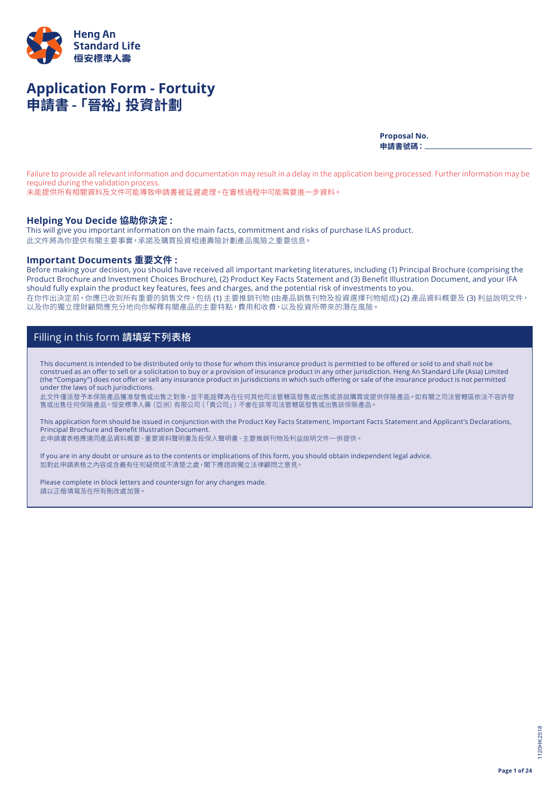

# **Application Form - Fortuity 申請書 -「晉裕」投資計劃**

**Proposal No. 申請書號碼:**

Failure to provide all relevant information and documentation may result in a delay in the application being processed. Further information may be required during the validation process.

未能提供所有相關資料及文件可能導致申請書被延遲處理。在審核過程中可能需要進一步資料。

### **Helping You Decide 協助你決定 :**

This will give you important information on the main facts, commitment and risks of purchase ILAS product. 此文件將為你提供有關主要事實,承諾及購買投資相連壽險計劃產品風險之重要信息。

### **Important Documents 重要文件 :**

Before making your decision, you should have received all important marketing literatures, including (1) Principal Brochure (comprising the Product Brochure and Investment Choices Brochure), (2) Product Key Facts Statement and (3) Benefit Illustration Document, and your IFA should fully explain the product key features, fees and charges, and the potential risk of investments to you. 在你作出決定前,你應已收到所有重要的銷售文件,包括 (1) 主要推銷刊物 (由產品銷售刊物及投資選擇刊物組成) (2) 產品資料概要及 (3) 利益說明文件, 以及你的獨立理財顧問應充分地向你解釋有關產品的主要特點,費用和收費,以及投資所帶來的潛在風險。

## Filling in this form 請填妥下列表格

This document is intended to be distributed only to those for whom this insurance product is permitted to be offered or sold to and shall not be construed as an offer to sell or a solicitation to buy or a provision of insurance product in any other jurisdiction. Heng An Standard Life (Asia) Limited (the "Company") does not offer or sell any insurance product in jurisdictions in which such offering or sale of the insurance product is not permitted under the laws of such jurisdictions.

此文件僅派發予本保險產品獲准發售或出售之對象,並不能詮釋為在任何其他司法管轄區發售或出售或游說購買或提供保險產品。如有關之司法管轄區依法不容許發 售或出售任何保險產品,恒安標準人壽(亞洲)有限公司(「貴公司」)不會在該等司法管轄區發售或出售該保險產品。

This application form should be issued in conjunction with the Product Key Facts Statement, Important Facts Statement and Applicant's Declarations, Principal Brochure and Benefit Illustration Document.

此申請書表格應連同產品資料概要、重要資料聲明書及投保人聲明書、主要推銷刊物及利益說明文件一併提供。

If you are in any doubt or unsure as to the contents or implications of this form, you should obtain independent legal advice. 如對此申請表格之內容或含義有任何疑問或不清楚之處,閣下應諮詢獨立法律顧問之意見。

Please complete in block letters and countersign for any changes made. 請以正楷填寫及在所有刪改處加簽。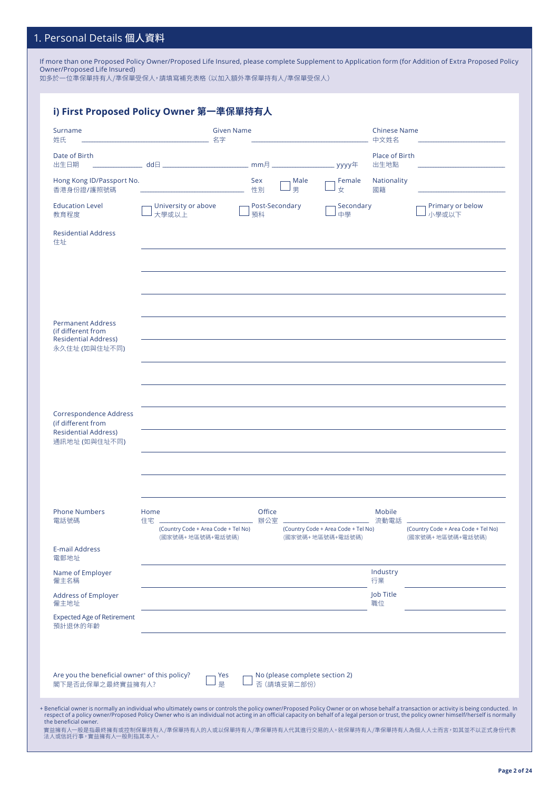## 1. Personal Details 個人資料

If more than one Proposed Policy Owner/Proposed Life Insured, please complete Supplement to Application form (for Addition of Extra Proposed Policy Owner/Proposed Life Insured)

如多於一位準保單持有人/準保單受保人,請填寫補充表格(以加入額外準保單持有人/準保單受保人)

| Surname<br>姓氏                                                                                  | <b>Given Name</b><br>名字                           |                      |                                               |                                     | <b>Chinese Name</b><br>中文姓名 |                                     |
|------------------------------------------------------------------------------------------------|---------------------------------------------------|----------------------|-----------------------------------------------|-------------------------------------|-----------------------------|-------------------------------------|
| Date of Birth<br>出生日期                                                                          |                                                   |                      |                                               | _ yyyy年                             | Place of Birth<br>出生地點      |                                     |
| Hong Kong ID/Passport No.<br>香港身份證/護照號碼                                                        |                                                   | Sex<br>性別            | Male<br>男                                     | Female<br>女                         | Nationality<br>國籍           |                                     |
| <b>Education Level</b><br>教育程度                                                                 | University or above<br>大學或以上                      | Post-Secondary<br>預科 |                                               | Secondary<br>中學                     |                             | Primary or below<br>小學或以下           |
| <b>Residential Address</b><br>住址                                                               |                                                   |                      |                                               |                                     |                             |                                     |
|                                                                                                |                                                   |                      |                                               |                                     |                             |                                     |
|                                                                                                |                                                   |                      |                                               |                                     |                             |                                     |
| <b>Permanent Address</b><br>(if different from<br><b>Residential Address)</b><br>永久住址 (如與住址不同) |                                                   |                      |                                               |                                     |                             |                                     |
|                                                                                                |                                                   |                      |                                               |                                     |                             |                                     |
| Correspondence Address<br>(if different from<br><b>Residential Address)</b><br>通訊地址 (如與住址不同)   |                                                   |                      |                                               |                                     |                             |                                     |
|                                                                                                |                                                   |                      |                                               |                                     |                             |                                     |
| <b>Phone Numbers</b><br>電話號碼                                                                   | Home<br>住宅<br>(Country Code + Area Code + Tel No) | Office<br>辦公室        |                                               | (Country Code + Area Code + Tel No) | Mobile<br>流動電話              | (Country Code + Area Code + Tel No) |
| <b>E-mail Address</b><br>電郵地址                                                                  | (國家號碼+地區號碼+電話號碼)                                  |                      |                                               | (國家號碼+地區號碼+電話號碼)                    |                             | (國家號碼+地區號碼+電話號碼)                    |
| Name of Employer<br>僱主名稱                                                                       |                                                   |                      |                                               |                                     | Industry<br>行業              |                                     |
| <b>Address of Employer</b><br>僱主地址                                                             |                                                   |                      |                                               |                                     | Job Title<br>職位             |                                     |
| <b>Expected Age of Retirement</b><br>預計退休的年齡                                                   |                                                   |                      |                                               |                                     |                             |                                     |
| Are you the beneficial owner <sup>+</sup> of this policy?<br>閣下是否此保單之最終實益擁有人?                  | Yes<br>是                                          |                      | No (please complete section 2)<br>否 (請填妥第二部份) |                                     |                             |                                     |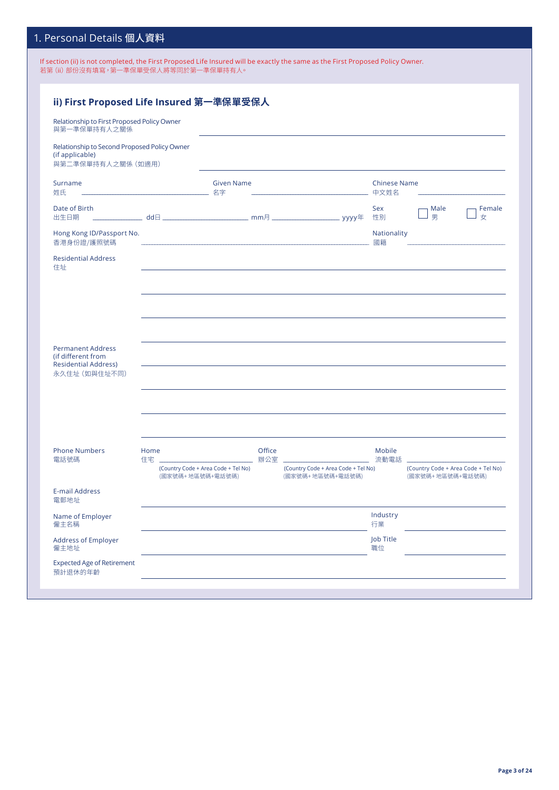## 1. Personal Details 個人資料

If section (ii) is not completed, the First Proposed Life Insured will be exactly the same as the First Proposed Policy Owner. 若第 (ii) 部份沒有填寫,第一準保單受保人將等同於第一準保單持有人。

| ii) First Proposed Life Insured 第一準保單受保人<br>Relationship to First Proposed Policy Owner<br>與第一準保單持有人之關係 |                                                         |                   |                 |                                                         |                             |                                                         |
|---------------------------------------------------------------------------------------------------------|---------------------------------------------------------|-------------------|-----------------|---------------------------------------------------------|-----------------------------|---------------------------------------------------------|
| Relationship to Second Proposed Policy Owner<br>(if applicable)<br>與第二準保單持有人之關係 (如適用)                   |                                                         |                   |                 |                                                         |                             |                                                         |
| Surname<br>姓氏                                                                                           |                                                         | <b>Given Name</b> |                 |                                                         | <b>Chinese Name</b><br>中文姓名 |                                                         |
| Date of Birth<br>出生日期                                                                                   |                                                         |                   |                 |                                                         | Sex<br>性別                   | Male<br>Female<br>男<br>女                                |
| Hong Kong ID/Passport No.<br>香港身份證/護照號碼                                                                 |                                                         |                   |                 |                                                         | Nationality<br>國籍           |                                                         |
| <b>Residential Address</b><br>住址                                                                        |                                                         |                   |                 |                                                         |                             |                                                         |
| <b>Permanent Address</b><br>(if different from<br><b>Residential Address)</b><br>永久住址 (如與住址不同)          |                                                         |                   |                 |                                                         |                             |                                                         |
| <b>Phone Numbers</b><br>電話號碼                                                                            | Home<br>住宅」                                             |                   | Office<br>辦公室 二 |                                                         | Mobile<br>流動電話              |                                                         |
|                                                                                                         | (Country Code + Area Code + Tel No)<br>(國家號碼+地區號碼+電話號碼) |                   |                 | (Country Code + Area Code + Tel No)<br>(國家號碼+地區號碼+電話號碼) |                             | (Country Code + Area Code + Tel No)<br>(國家號碼+地區號碼+電話號碼) |
| <b>E-mail Address</b><br>電郵地址                                                                           |                                                         |                   |                 |                                                         |                             |                                                         |
| Name of Employer<br>僱主名稱                                                                                |                                                         |                   |                 |                                                         | Industry<br>行業              |                                                         |
| <b>Address of Employer</b><br>僱主地址                                                                      |                                                         |                   |                 |                                                         | Job Title<br>職位             |                                                         |
| <b>Expected Age of Retirement</b><br>預計退休的年齡                                                            |                                                         |                   |                 |                                                         |                             |                                                         |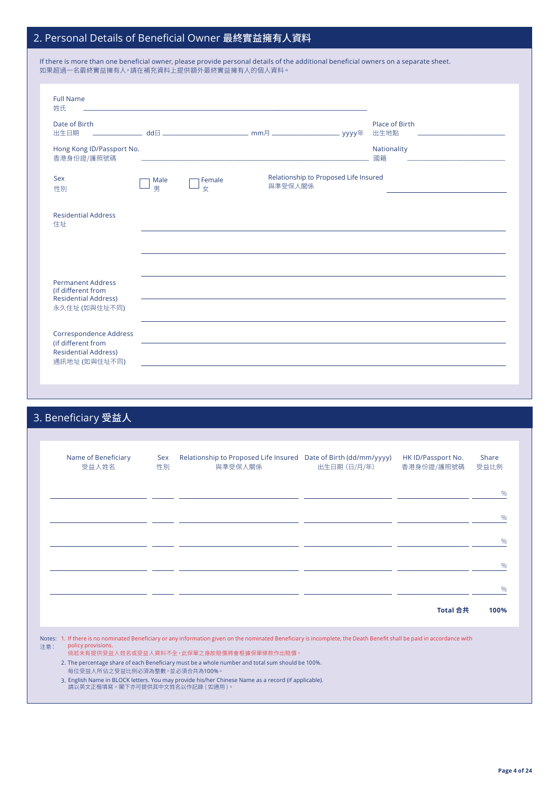## 2. Personal Details of Beneficial Owner 最終實益擁有人資料

性別 マンファー コン 男 コンプ 女

 $\overline{a}$ 

| If there is more than one beneficial owner, please provide personal details of the additional beneficial owners on a separate sheet.<br>如果超過一名最終實益擁有人,請在補充資料上提供額外最終實益擁有人的個人資料。 |           |        |         |                                       |                        |  |
|--------------------------------------------------------------------------------------------------------------------------------------------------------------------------------|-----------|--------|---------|---------------------------------------|------------------------|--|
| <b>Full Name</b><br>姓氏                                                                                                                                                         |           |        |         |                                       |                        |  |
| Date of Birth<br>出生日期                                                                                                                                                          | $H$ bb    |        |         | vvvv年                                 | Place of Birth<br>出生地點 |  |
| Hong Kong ID/Passport No.<br>香港身份證/護照號碼                                                                                                                                        |           |        |         |                                       | Nationality<br>國籍      |  |
| <b>Sex</b><br>性別                                                                                                                                                               | Male<br>⊞ | Female | 與準受保人關係 | Relationship to Proposed Life Insured |                        |  |

| <b>Residential Address</b><br>住址                                              |  |  |
|-------------------------------------------------------------------------------|--|--|
|                                                                               |  |  |
|                                                                               |  |  |
| <b>Permanent Address</b><br>(if different from<br><b>Residential Address)</b> |  |  |
| 永久住址 (如與住址不同)                                                                 |  |  |
| <b>Correspondence Address</b>                                                 |  |  |
| (if different from<br><b>Residential Address)</b>                             |  |  |

# 3. Beneficiary 受益人

通訊地址 (如與住址不同)

| Name of Beneficiary<br>受益人姓名    | <b>Sex</b><br>性別 | Relationship to Proposed Life Insured Date of Birth (dd/mm/yyyy)<br>與準受保人關係                                                                                                                                                                                                                                             | 出生日期 (日/月/年) | HK ID/Passport No.<br>香港身份證/護照號碼 | Share<br>受益比例 |
|---------------------------------|------------------|-------------------------------------------------------------------------------------------------------------------------------------------------------------------------------------------------------------------------------------------------------------------------------------------------------------------------|--------------|----------------------------------|---------------|
|                                 |                  |                                                                                                                                                                                                                                                                                                                         |              |                                  | $\%$          |
|                                 |                  |                                                                                                                                                                                                                                                                                                                         |              |                                  | $\frac{0}{0}$ |
|                                 |                  |                                                                                                                                                                                                                                                                                                                         |              |                                  | $\%$          |
|                                 |                  |                                                                                                                                                                                                                                                                                                                         |              |                                  | $\%$          |
|                                 |                  |                                                                                                                                                                                                                                                                                                                         |              |                                  | $\frac{0}{0}$ |
|                                 |                  |                                                                                                                                                                                                                                                                                                                         |              | Total 合共                         | 100%          |
| policy provisions.<br>注意:       |                  | Notes: 1. If there is no nominated Beneficiary or any information given on the nominated Beneficiary is incomplete, the Death Benefit shall be paid in accordance with<br>倘若未有提供受益人姓名或受益人資料不全,此保單之身故賠償將會根據保單條款作出賠償。<br>2. The percentage share of each Beneficiary must be a whole number and total sum should be 100%. |              |                                  |               |
| 每位受益人所佔之受益比例必須為整數,並必須合共為100%。   |                  |                                                                                                                                                                                                                                                                                                                         |              |                                  |               |
| 請以英文正楷填寫。閣下亦可提供其中文姓名以作記錄 (如適用)。 |                  | 3. English Name in BLOCK letters. You may provide his/her Chinese Name as a record (if applicable).                                                                                                                                                                                                                     |              |                                  |               |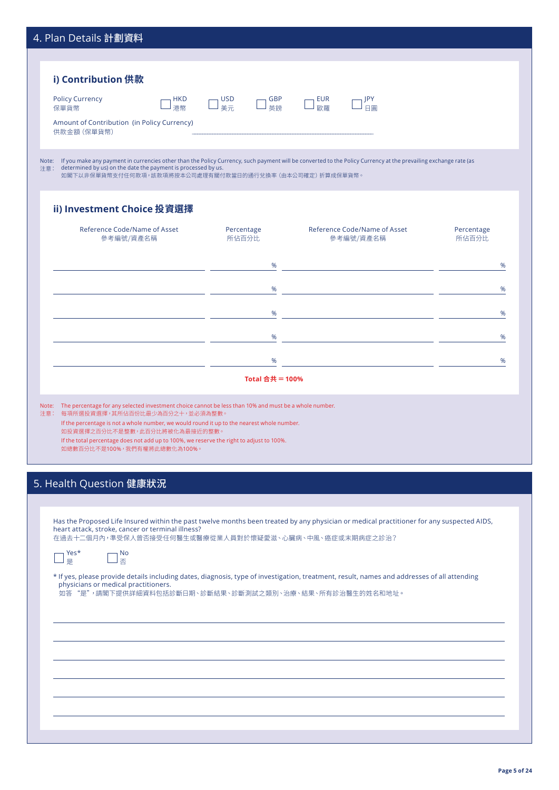| 4. Plan Details 計劃資料                                                                                                                                                                                                                                                                                                                                                                                                                                                                                                                 |                                      |                                                                            |                     |
|--------------------------------------------------------------------------------------------------------------------------------------------------------------------------------------------------------------------------------------------------------------------------------------------------------------------------------------------------------------------------------------------------------------------------------------------------------------------------------------------------------------------------------------|--------------------------------------|----------------------------------------------------------------------------|---------------------|
|                                                                                                                                                                                                                                                                                                                                                                                                                                                                                                                                      |                                      |                                                                            |                     |
| i) Contribution 供款                                                                                                                                                                                                                                                                                                                                                                                                                                                                                                                   |                                      |                                                                            |                     |
|                                                                                                                                                                                                                                                                                                                                                                                                                                                                                                                                      |                                      |                                                                            |                     |
| <b>Policy Currency</b><br><b>HKD</b><br>港幣<br>保單貨幣                                                                                                                                                                                                                                                                                                                                                                                                                                                                                   | <b>USD</b><br><b>GBP</b><br>美元<br>英鎊 | <b>EUR</b><br>JPY<br>歐羅<br>日圓                                              |                     |
| Amount of Contribution (in Policy Currency)<br>供款金額 (保單貨幣)                                                                                                                                                                                                                                                                                                                                                                                                                                                                           |                                      |                                                                            |                     |
|                                                                                                                                                                                                                                                                                                                                                                                                                                                                                                                                      |                                      |                                                                            |                     |
| Note: If you make any payment in currencies other than the Policy Currency, such payment will be converted to the Policy Currency at the prevailing exchange rate (as<br>determined by us) on the date the payment is processed by us.<br>注意:<br>如閣下以非保單貨幣支付任何款項,該款項將按本公司處理有關付款當日的通行兌換率(由本公司確定)折算成保單貨幣。                                                                                                                                                                                                                              |                                      |                                                                            |                     |
|                                                                                                                                                                                                                                                                                                                                                                                                                                                                                                                                      |                                      |                                                                            |                     |
| ii) Investment Choice 投資選擇                                                                                                                                                                                                                                                                                                                                                                                                                                                                                                           |                                      |                                                                            |                     |
| Reference Code/Name of Asset<br>參考編號/資產名稱                                                                                                                                                                                                                                                                                                                                                                                                                                                                                            | Percentage<br>所佔百分比                  | Reference Code/Name of Asset<br>參考編號/資產名稱                                  | Percentage<br>所佔百分比 |
|                                                                                                                                                                                                                                                                                                                                                                                                                                                                                                                                      |                                      |                                                                            |                     |
|                                                                                                                                                                                                                                                                                                                                                                                                                                                                                                                                      | %                                    | the control of the control of the control of the control of the control of | %                   |
|                                                                                                                                                                                                                                                                                                                                                                                                                                                                                                                                      | %                                    | <u> 1999 - Johann Marie Barn, mars eta inperiodo</u>                       | %                   |
|                                                                                                                                                                                                                                                                                                                                                                                                                                                                                                                                      | %                                    | <u> 1999 - Johann Marie Barn, mars eta inperiodo</u>                       | %                   |
|                                                                                                                                                                                                                                                                                                                                                                                                                                                                                                                                      | %                                    | <u> 1980 - Jan Barbara Barat, prima popula</u>                             | %                   |
|                                                                                                                                                                                                                                                                                                                                                                                                                                                                                                                                      | %                                    | <u> 1999 - Johann Marie Barn, mars eta inperiodo</u>                       | %                   |
|                                                                                                                                                                                                                                                                                                                                                                                                                                                                                                                                      | Total 合共 = 100%                      |                                                                            |                     |
|                                                                                                                                                                                                                                                                                                                                                                                                                                                                                                                                      |                                      |                                                                            |                     |
| Note: The percentage for any selected investment choice cannot be less than 10% and must be a whole number.<br>注意: 每項所選投資選擇,其所佔百份比最少為百分之十,並必須為整數。                                                                                                                                                                                                                                                                                                                                                                                    |                                      |                                                                            |                     |
| If the percentage is not a whole number, we would round it up to the nearest whole number.<br>如投資選擇之百分比不是整數,此百分比將被化為最接近的整數。                                                                                                                                                                                                                                                                                                                                                                                                          |                                      |                                                                            |                     |
| If the total percentage does not add up to 100%, we reserve the right to adjust to 100%.<br>如總數百分比不是100%,我們有權將此總數化為100%。                                                                                                                                                                                                                                                                                                                                                                                                             |                                      |                                                                            |                     |
|                                                                                                                                                                                                                                                                                                                                                                                                                                                                                                                                      |                                      |                                                                            |                     |
|                                                                                                                                                                                                                                                                                                                                                                                                                                                                                                                                      |                                      |                                                                            |                     |
|                                                                                                                                                                                                                                                                                                                                                                                                                                                                                                                                      |                                      |                                                                            |                     |
|                                                                                                                                                                                                                                                                                                                                                                                                                                                                                                                                      |                                      |                                                                            |                     |
|                                                                                                                                                                                                                                                                                                                                                                                                                                                                                                                                      |                                      |                                                                            |                     |
|                                                                                                                                                                                                                                                                                                                                                                                                                                                                                                                                      |                                      |                                                                            |                     |
| Yes*<br>No.<br>口香<br>是                                                                                                                                                                                                                                                                                                                                                                                                                                                                                                               |                                      |                                                                            |                     |
|                                                                                                                                                                                                                                                                                                                                                                                                                                                                                                                                      |                                      |                                                                            |                     |
| 5. Health Question 健康狀況<br>Has the Proposed Life Insured within the past twelve months been treated by any physician or medical practitioner for any suspected AIDS,<br>heart attack, stroke, cancer or terminal illness?<br>在過去十二個月內,準受保人曾否接受任何醫生或醫療從業人員對於懷疑愛滋、心臟病、中風、癌症或末期病症之診治?<br>* If yes, please provide details including dates, diagnosis, type of investigation, treatment, result, names and addresses of all attending<br>physicians or medical practitioners.<br>如答 "是",請閣下提供詳細資料包括診斷日期、診斷結果、診斷測試之類別、治療、結果、所有診治醫生的姓名和地址。 |                                      |                                                                            |                     |
|                                                                                                                                                                                                                                                                                                                                                                                                                                                                                                                                      |                                      |                                                                            |                     |
|                                                                                                                                                                                                                                                                                                                                                                                                                                                                                                                                      |                                      |                                                                            |                     |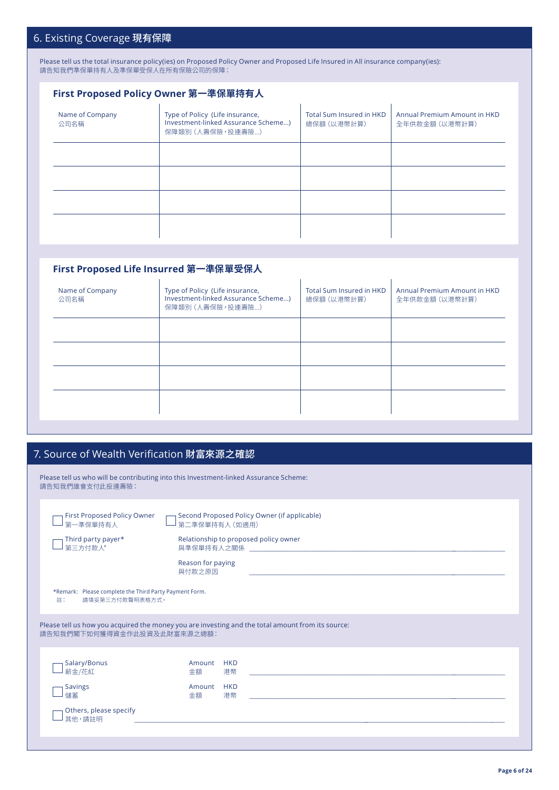## 6. Existing Coverage 現有保障

Please tell us the total insurance policy(ies) on Proposed Policy Owner and Proposed Life Insured in All insurance company(ies): 請告知我們準保單持有人及準保單受保人在所有保險公司的保障:

## **First Proposed Policy Owner 第一準保單持有人**

| Name of Company<br>公司名稱 | Type of Policy (Life insurance,<br>Investment-linked Assurance Scheme)<br>保障類別 (人壽保險,投連壽險) | Total Sum Insured in HKD<br>總保額 (以港幣計算) | Annual Premium Amount in HKD<br>全年供款金額 (以港幣計算) |
|-------------------------|--------------------------------------------------------------------------------------------|-----------------------------------------|------------------------------------------------|
|                         |                                                                                            |                                         |                                                |
|                         |                                                                                            |                                         |                                                |
|                         |                                                                                            |                                         |                                                |
|                         |                                                                                            |                                         |                                                |

## **First Proposed Life Insurred 第一準保單受保人**

| Name of Company<br>公司名稱 | Type of Policy (Life insurance,<br>Investment-linked Assurance Scheme)<br>保障類別 (人壽保險,投連壽險) | Total Sum Insured in HKD<br>總保額 (以港幣計算) | Annual Premium Amount in HKD<br>全年供款金額 (以港幣計算) |
|-------------------------|--------------------------------------------------------------------------------------------|-----------------------------------------|------------------------------------------------|
|                         |                                                                                            |                                         |                                                |
|                         |                                                                                            |                                         |                                                |
|                         |                                                                                            |                                         |                                                |
|                         |                                                                                            |                                         |                                                |
|                         |                                                                                            |                                         |                                                |

# 7. Source of Wealth Verification 財富來源之確認

| 請告知我們誰會支付此投連壽險:                                                                 | Please tell us who will be contributing into this Investment-linked Assurance Scheme:             |
|---------------------------------------------------------------------------------|---------------------------------------------------------------------------------------------------|
| First Proposed Policy Owner<br>第一準保單持有人                                         | Second Proposed Policy Owner (if applicable)<br>第二準保單持有人 (如滴用)                                    |
| Third party payer*<br>第三方付款人*                                                   | Relationship to proposed policy owner                                                             |
|                                                                                 | Reason for paying<br>與付款之原因                                                                       |
| *Remark: Please complete the Third Party Payment Form.<br>請填妥第三方付款聲明表格方式。<br>註: |                                                                                                   |
| 請告知我們閣下如何獲得資金作此投資及此財富來源之總額:                                                     | Please tell us how you acquired the money you are investing and the total amount from its source: |
| Salary/Bonus<br>薪金/花紅                                                           | <b>HKD</b><br>Amount<br>港幣<br>金額                                                                  |
| <b>Savings</b><br>儲蓄                                                            | <b>HKD</b><br>Amount<br>金額<br>港幣                                                                  |
| Others, please specify<br>其他,請註明                                                |                                                                                                   |
|                                                                                 |                                                                                                   |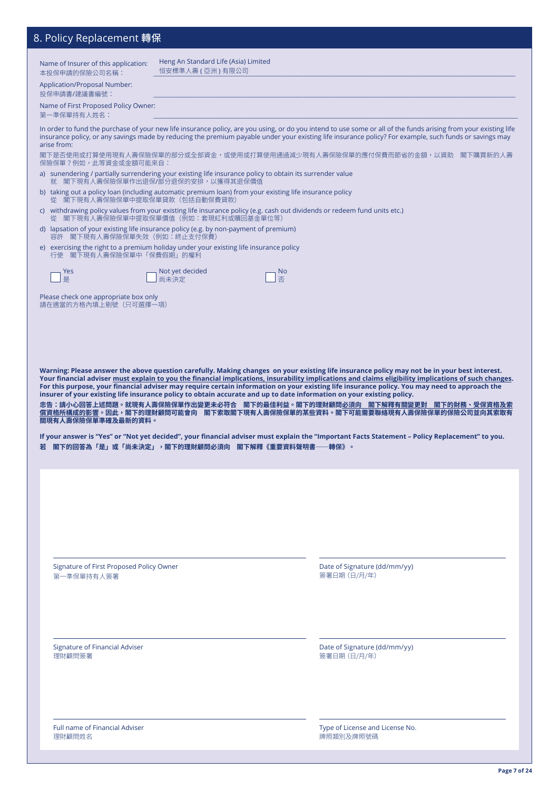## 8. Policy Replacement 轉保

| ייר און אין אבµומרבווובוור <del>וע</del> אי                                                                                              |                                                            |                                                                                                                                                                                                                                                                                                                             |
|------------------------------------------------------------------------------------------------------------------------------------------|------------------------------------------------------------|-----------------------------------------------------------------------------------------------------------------------------------------------------------------------------------------------------------------------------------------------------------------------------------------------------------------------------|
| Name of Insurer of this application:<br>本投保申請的保險公司名稱:                                                                                    | Heng An Standard Life (Asia) Limited<br>恒安標準人壽 ( 亞洲 ) 有限公司 |                                                                                                                                                                                                                                                                                                                             |
| Application/Proposal Number:<br>投保申請書/建議書編號:                                                                                             |                                                            |                                                                                                                                                                                                                                                                                                                             |
| Name of First Proposed Policy Owner:<br>第一準保單持有人姓名:                                                                                      |                                                            |                                                                                                                                                                                                                                                                                                                             |
| arise from:                                                                                                                              |                                                            | In order to fund the purchase of your new life insurance policy, are you using, or do you intend to use some or all of the funds arising from your existing life<br>insurance policy, or any savings made by reducing the premium payable under your existing life insurance policy? For example, such funds or savings may |
| 保險保單?例如,此等資金或金額可能來自:                                                                                                                     |                                                            | 閣下是否使用或打算使用現有人壽保險保單的部分或全部資金,或使用或打算使用通過減少現有人壽保險保單的應付保費而節省的金額,以資助    閣下購買新的人壽                                                                                                                                                                                                                                                 |
| a) sunendering / partially surrendering your existing life insurance policy to obtain its surrender value                                | 就 閣下現有人壽保險保單作出退保/部分退保的安排,以獲得其退保價值                          |                                                                                                                                                                                                                                                                                                                             |
| b) taking out a policy loan (including automatic premium loan) from your existing life insurance policy<br>從 閣下現有人壽保險保單中提取保單貸款(包括自動保費貸款) |                                                            | c) withdrawing policy values from your existing life insurance policy (e.g. cash out dividends or redeem fund units etc.)                                                                                                                                                                                                   |
| d) lapsation of your existing life insurance policy (e.g. by non-payment of premium)                                                     | 閣下現有人壽保險保單中提取保單價值(例如:套現紅利或贖回基金單位等)                         |                                                                                                                                                                                                                                                                                                                             |
| 容許 閣下現有人壽保險保單失效 (例如:終止支付保費)<br>e) exercising the right to a premium holiday under your existing life insurance policy                    |                                                            |                                                                                                                                                                                                                                                                                                                             |
| 行使 閣下現有人壽保險保單中「保費假期」的權利                                                                                                                  |                                                            |                                                                                                                                                                                                                                                                                                                             |
| Yes<br>是                                                                                                                                 | Not yet decided<br>尚未決定                                    | <b>No</b><br>否                                                                                                                                                                                                                                                                                                              |
| Please check one appropriate box only<br>請在適當的方格內填上剔號 (只可選擇一項)                                                                           |                                                            |                                                                                                                                                                                                                                                                                                                             |
|                                                                                                                                          |                                                            |                                                                                                                                                                                                                                                                                                                             |
|                                                                                                                                          |                                                            |                                                                                                                                                                                                                                                                                                                             |
|                                                                                                                                          |                                                            |                                                                                                                                                                                                                                                                                                                             |
|                                                                                                                                          |                                                            |                                                                                                                                                                                                                                                                                                                             |
|                                                                                                                                          |                                                            | Warning: Please answer the above question carefully. Making changes on your existing life insurance policy may not be in your best interest.<br>Your financial adviser must explain to you the financial implications, insurability implications and claims eligibility implications of such changes.                       |
|                                                                                                                                          |                                                            | For this purpose, your financial adviser may require certain information on your existing life insurance policy. You may need to approach the<br>insurer of your existing life insurance policy to obtain accurate and up to date information on your existing policy.                                                      |
|                                                                                                                                          |                                                            | 忠告:請小心回答上述問題。就現有人壽保險保單作出變更未必符合    閣下的最佳利益。閣下的理財顧問 <u>必須向    閣下解釋有關變更對    閣下的財務、受保資格及索</u><br>償資格所構成的影響。因此,閣下的理財顧問可能會向    閣下索取閣下現有人壽保險保單的某些資料。閣下可能需要聯絡現有人壽保險保單的保險公司並向其索取有                                                                                                                                                    |
| 關現有人壽保險保單準確及最新的資料。                                                                                                                       |                                                            | If your answer is "Yes" or "Not yet decided", your financial adviser must explain the "Important Facts Statement - Policy Replacement" to you.                                                                                                                                                                              |
| 若 閣下的回答為「是」或「尚未決定」,閣下的理財顧問必須向 閣下解釋《重要資料聲明書                                                                                               |                                                            | -轉保》。                                                                                                                                                                                                                                                                                                                       |
|                                                                                                                                          |                                                            |                                                                                                                                                                                                                                                                                                                             |
|                                                                                                                                          |                                                            |                                                                                                                                                                                                                                                                                                                             |
|                                                                                                                                          |                                                            |                                                                                                                                                                                                                                                                                                                             |
|                                                                                                                                          |                                                            |                                                                                                                                                                                                                                                                                                                             |
|                                                                                                                                          |                                                            |                                                                                                                                                                                                                                                                                                                             |
| Signature of First Proposed Policy Owner                                                                                                 |                                                            | Date of Signature (dd/mm/yy)                                                                                                                                                                                                                                                                                                |
| 第一準保單持有人簽署                                                                                                                               |                                                            | 簽署日期 (日/月/年)                                                                                                                                                                                                                                                                                                                |
|                                                                                                                                          |                                                            |                                                                                                                                                                                                                                                                                                                             |
|                                                                                                                                          |                                                            |                                                                                                                                                                                                                                                                                                                             |
|                                                                                                                                          |                                                            |                                                                                                                                                                                                                                                                                                                             |
| <b>Signature of Financial Adviser</b><br>理財顧問簽署                                                                                          |                                                            | Date of Signature (dd/mm/yy)<br>簽署日期 (日/月/年)                                                                                                                                                                                                                                                                                |
|                                                                                                                                          |                                                            |                                                                                                                                                                                                                                                                                                                             |
|                                                                                                                                          |                                                            |                                                                                                                                                                                                                                                                                                                             |

Full name of Financial Adviser 理財顧問姓名

Type of License and License No. 牌照類別<mark>及牌照號</mark>碼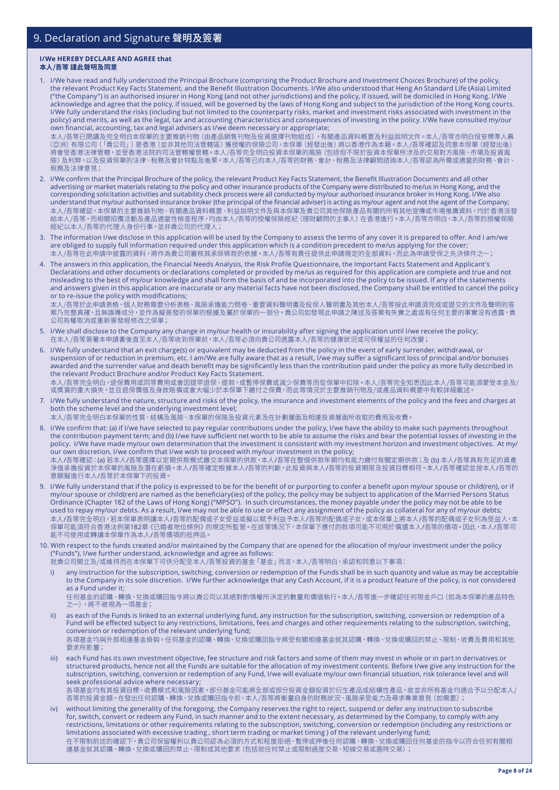#### **I/We HEREBY DECLARE AND AGREE that 本人/吾等 謹此聲明及同意**

1. I/We have read and fully understood the Principal Brochure (comprising the Product Brochure and Investment Choices Brochure) of the policy, the relevant Product Key Facts Statement, and the Benefit Illustration Documents. I/We also understood that Heng An Standard Life (Asia) Limited ("the Company") is an authorised insurer in Hong Kong (and not other jurisdictions) and the policy, if issued, will be domiciled in Hong Kong. I/We acknowledge and agree that the policy, if issued, will be governed by the laws of Hong Kong and subject to the jurisdiction of the Hong Kong courts. I/We fully understand the risks (including but not limited to the counterparty risks, market and investment risks associated with investment in the policy) and merits, as well as the legal, tax and accounting characteristics and consequences of investing in the policy. I/We have consulted my/our own financial, accounting, tax and legal advisers as I/we deem necessary or appropriate;

本人/吾等已閱讀及完全明白本保單的主要推銷刊物(由產品銷售刊物及投資選擇刊物組成),有關產品資料概要及利益說明文件。本人/吾等亦明白恒安標準人壽 (亞洲)有限公司(「貴公司」)是香港(並非其他司法管轄區)獲授權的保險公司,本保單(經發出後)將以香港作為本籍。本人/吾等確認及同意本保單(經發出 後) 將會受香港法律管轄,並受香港法院的司法管轄權管轄。本人/吾等完全明白投資本保單的風險(包括但不限於投資本保單所涉及的交易對方風險、市場及投資風 險)及利弊,以及投資保單的法律、稅務及會計特點及後果。本人/吾等已向本人/吾等的財務、會計、稅務及法律顧問諮詢本人/吾等認為所需或適當的財務、會計、 稅務及法律意見;

- 2. I/We confirm that the Principal Brochure of the policy, the relevant Product Key Facts Statement, the Benefit Illustration Documents and all other advertising or market materials relating to the policy and other insurance products of the Company were distributed to me/us in Hong Kong, and the corresponding solicitation activities and suitability check process were all conducted by my/our authorised insurance broker in Hong Kong. I/We also understand that my/our authorised insurance broker (the principal of the financial adviser) is acting as my/our agent and not the agent of the Company; 本人/吾等確認,本保單的主要推銷刊物、有關產品資料概要、利益說明文件及與本保單及貴公司其他保險產品有關的所有其他宣傳或市場推廣資料,均於香港派發 給本人/吾等,而相關招攬活動及產品適當性檢查程序,均由本人/吾等的授權保險經紀(理財顧問的主事人)在香港進行。本人/吾等亦明白,本人/吾等的授權保險 經紀以本人/吾等的代理人身份行事,並非貴公司的代理人;
- 3. The information I/we disclose in this application will be used by the Company to assess the terms of any cover it is prepared to offer. And I am/we are obliged to supply full information required under this application which is a condition precedent to me/us applying for the cover; 本人/吾等在此申請中披露的資料,將作為貴公司審核其承保條款的依據。本人/吾等有責任提供此申請規定的全部資料,而此為申請受保之先決條件之;
- 4. The answers in this application, the Financial Needs Analysis, the Risk Profile Questionnaire, the Important Facts Statement and Applicant's Declarations and other documents or declarations completed or provided by me/us as required for this application are complete and true and not misleading to the best of my/our knowledge and shall form the basis of and be incorporated into the policy to be issued. If any of the statements and answers given in this application are inaccurate or any material facts have not been disclosed, the Company shall be entitled to cancel the policy or to re-issue the policy with modifications;

本人/吾等於此申請表格、個人財務需要分析表格、風險承擔能力問卷、重要資料聲明書及投保人聲明書及其他本人/吾等按此申請須完成或提交的文件及聲明的答 案乃完整真確,且無誤導成分,並作為擬簽發的保單的根據及屬於保單的一部分。貴公司如發現此申請之陳述及答案有失實之處或有任何主要的事實沒有透露,貴 公司有權取消或重新簽發經修改之保單;

- 5. I/We shall disclose to the Company any change in my/our health or insurability after signing the application until I/we receive the policy; 在本人/吾等簽署本申請書後直至本人/吾等收到保單前,本人/吾等必須向貴公司透露本人/吾等的健康狀況或可保權益的任何改變;
- 6. I/We fully understand that an exit charge(s) or equivalent may be deducted from the policy in the event of early surrender, withdrawal, or suspension of or reduction in premium, etc. I am/We are fully aware that as a result, I/we may suffer a significant loss of principal and/or bonuses awarded and the surrender value and death benefit may be significantly less than the contribution paid under the policy as more fully described in the relevant Product Brochure and/or Product Key Facts Statement. 本人/吾等完全明白,退保費用或同等費用或會因提早退保、提款,或暫停保費或減少保費等而從保單中扣除。本人/吾等完全知悉因此本人/吾等可能須蒙受本金及/ 或獎賞的重大損失,並且退保價值及身故賠償或會大幅小於本保單下繳付之保費,而此等情況於主要推銷刊物及/或產品資料概要中有較詳細載述
- 7. I/We fully understand the nature, structure and risks of the policy, the insurance and investment elements of the policy and the fees and charges at both the scheme level and the underlying investment level; 本人/吾等完全明白本保單的性質、結構及風險、本保單的保險及投資元素及在計劃層面及相連投資層面所收取的費用及收費。
- 8. I/We confirm that: (a) if I/we have selected to pay regular contributions under the policy, I/we have the ability to make such payments throughout the contribution payment term; and (b) I/we have sufficient net worth to be able to assume the risks and bear the potential losses of investing in the policy. I/We have made my/our own determination that the investment is consistent with my investment horizon and investment objectives. At my/ our own discretion, I/we confirm that I/we wish to proceed with my/our investment in the policy; 本人/吾等確認:(a) 若本人/吾等選擇以定期供款模式繳交本保單的供款,本人/吾等在整個供款年期均有能力繳付有關定期供款;及 (b) 本人/吾等具有充足的資產 淨值承擔投資於本保單的風險及潛在虧損。本人/吾等確定根據本人/吾等的判斷,此投資與本人/吾等的投資期限及投資目標相符。本人/吾等確認並按本人/吾等的 意願擬進行本人/吾等於本保單下的投資。
- 9. I/We fully understand that if the policy is expressed to be for the benefit of or purporting to confer a benefit upon my/our spouse or child(ren), or if my/our spouse or child(ren) are named as the beneficiary(ies) of the policy, the policy may be subject to application of the Married Persons Status Ordinance (Chapter 182 of the Laws of Hong Kong) ("MPSO"). In such circumstances, the money payable under the policy may not be able to be used to repay my/our debts. As a result, I/we may not be able to use or effect any assignment of the policy as collateral for any of my/our debts; 本人/吾等完全明白,若本保單表明讓本人/吾等的配偶或子女受益或擬以賦予利益予本人/吾等的配偶或子女,或本保單上將本人/吾等的配偶或子女列為受益人,本 保單可能須符合香港法例第182章《已婚者地位條例》的規定所監管。在該等情況下,本保單下應付的款項可能不可用於償還本人/吾等的債項。因此,本人/吾等可 能不可使用或轉讓本保單作為本人/吾等債項的抵押品。
- 10. With respect to the funds created and/or maintained by the Company that are opened for the allocation of my/our investment under the policy ("Funds"), I/we further understand, acknowledge and agree as follows:
	- 就貴公司開立及/或維持而在本保單下可供分配至本人/吾等投資的基金「基金」而言,本人/吾等明白,承認和同意以下事項:
	- i) any instruction for the subscription, switching, conversion or redemption of the Funds shall be in such quantity and value as may be acceptable to the Company in its sole discretion. I/We further acknowledge that any Cash Account, if it is a product feature of the policy, is not considered as a Fund under it;

任何基金的認購、轉換、兌換或贖回指令將以貴公司以其絕對酌情權所決定的數量和價值執行。本人/吾等進一步確認任何現金戶口(如為本保單的產品特色 之一),將不被視為一項基金;

- as each of the Funds is linked to an external underlying fund, any instruction for the subscription, switching, conversion or redemption of a Fund will be effected subject to any restrictions, limitations, fees and charges and other requirements relating to the subscription, switching, conversion or redemption of the relevant underlying fund; 各項基金均與外部相連基金掛鈎。任何基金的認購、轉換、兌換或贖回指令將受有關相連基金就其認購、轉換、兌換或贖回的禁止、限制、收費及費用和其他 要求所影響;
- each Fund has its own investment objective, fee structure and risk factors and some of them may invest in whole or in part in derivatives or structured products, hence not all the Funds are suitable for the allocation of my investment contents. Before I/we give any instruction for the subscription, switching, conversion or redemption of any Fund, I/we will evaluate my/our own financial situation, risk tolerance level and will seek professional advice where necessary; 各項基金均有其投資目標、收費模式和風險因素。部分基金可能將全部或部分投資金額投資於衍生產品或結構性產品,故並非所有基金均適合予以分配本人/ 吾等的投資金額。在發出任何認購、轉換、兌換或贖回指令前,本人/吾等將衡量自身的財務狀況、風險承受能力及尋求專業意見(如需要);
- iv) without limiting the generality of the foregoing, the Company reserves the right to reject, suspend or defer any instruction to subscribe for, switch, convert or redeem any Fund, in such manner and to the extent necessary, as determined by the Company, to comply with any restrictions, limitations or other requirements relating to the subscription, switching, conversion or redemption (including any restrictions or limitations associated with excessive trading , short term trading or market timing ) of the relevant underlying fund; 在不限制前述的確認下,責公司保留權利以責公司認為必須的万式和程度拒絶、暫停或押後仕何認購、轉換、兌換或贖回仕何基金的指令以符合仕何有關<mark>相</mark> 連基金就其認購、轉換、兌換或贖回的禁止、限制或其他要求(包括就任何禁止或限制過度交易、短線交易或選時交易);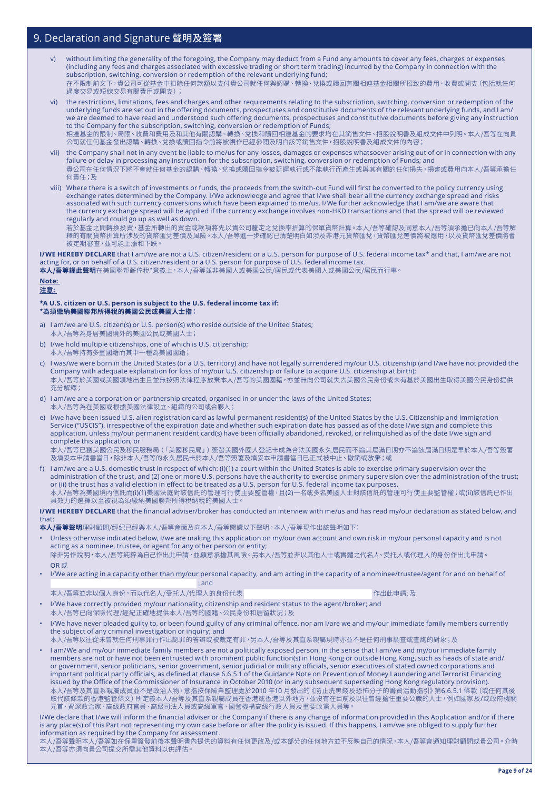- v) without limiting the generality of the foregoing, the Company may deduct from a Fund any amounts to cover any fees, charges or expenses (including any fees and charges associated with excessive trading or short term trading) incurred by the Company in connection with the subscription, switching, conversion or redemption of the relevant underlying fund; 在不限制前文下,貴公司可從基金中扣除任何款額以支付貴公司就任何與認購、轉換、兌換或贖回有關相連基金相關所招致的費用、收費或開支(包括就任何 過度交易或短線交易有關費用或開支);
- vi) the restrictions, limitations, fees and charges and other requirements relating to the subscription, switching, conversion or redemption of the underlying funds are set out in the offering documents, prospectuses and constitutive documents of the relevant underlying funds, and I am/ we are deemed to have read and understood such offering documents, prospectuses and constitutive documents before giving any instruction to the Company for the subscription, switching, conversion or redemption of Funds; 相連基金的限制、局限、收費和費用及和其他有關認購、轉換、兌換和贖回相連基金的要求均在其銷售文件、招股說明書及組成文件中列明。本人/吾等在向貴 公司就任何基金發出認購、轉換、兌換或贖回指令前將被視作已經參閱及明白該等銷售文件,招股說明書及組成文件的內容;
- vii) the Company shall not in any event be liable to me/us for any losses, damages or expenses whatsoever arising out of or in connection with any failure or delay in processing any instruction for the subscription, switching, conversion or redemption of Funds; and 貴公司在任何情況下將不會就任何基金的認購、轉換、兌換或贖回指令被延遲執行或不能執行而產生或與其有關的任何損失,損害或費用向本人/吾等承擔任 何責任;及
- viii) Where there is a switch of investments or funds, the proceeds from the switch-out Fund will first be converted to the policy currency using exchange rates determined by the Company. I/We acknowledge and agree that I/we shall bear all the currency exchange spread and risks associated with such currency conversions which have been explained to me/us. I/We further acknowledge that I am/we are aware that the currency exchange spread will be applied if the currency exchange involves non-HKD transactions and that the spread will be reviewed regularly and could go up as well as down.

若於基金之間轉換投資,基金所轉出的資金或款項將先以貴公司釐定之兌換率折算的保單貨幣計算。本人/吾等確認及同意本人/吾等須承擔已向本人/吾等解 釋的有關貨幣折算所涉及的貨幣匯兌差價及風險。本人/吾等進一步確認已清楚明白如涉及非港元貨幣匯兌,貨幣匯兌差價將被應用,以及貨幣匯兌差價將會 被定期審查,並可能上漲和下跌。

**I/WE HEREBY DECLARE** that I am/we are not a U.S. citizen/resident or a U.S. person for purpose of U.S. federal income tax\* and that, I am/we are not acting for, or on behalf of a U.S. citizen/resident or a U.S. person for purpose of U.S. federal income tax.

**本人/吾等謹此聲明**在美國聯邦薪俸稅\*意義上,本人/吾等並非美國人或美國公民/居民或代表美國人或美國公民/居民而行事。

#### **Note: 注意:**

#### **\*A U.S. citizen or U.S. person is subject to the U.S. federal income tax if: \*為須繳納美國聯邦所得稅的美國公民或美國人士指:**

- I am/we are U.S. citizen(s) or U.S. person(s) who reside outside of the United States; 本人/吾等為身居美國境外的美國公民或美國人士;
- b) I/we hold multiple citizenships, one of which is U.S. citizenship; 本人/吾等持有多重國籍而其中一種為美國國籍;
- c) I was/we were born in the United States (or a U.S. territory) and have not legally surrendered my/our U.S. citizenship (and I/we have not provided the Company with adequate explanation for loss of my/our U.S. citizenship or failure to acquire U.S. citizenship at birth); 本人/吾等於美國或美國領地出生且並無按照法律程序放棄本人/吾等的美國國籍,亦並無向公司就失去美國公民身份或未有基於美國出生取得美國公民身份提供 充分解釋;
- d) I am/we are a corporation or partnership created, organised in or under the laws of the United States; 本人/吾等為在美國或根據美國法律設立、組織的公司或合夥人;
- e) I/we have been issued U.S. alien registration card as lawful permanent resident(s) of the United States by the U.S. Citizenship and Immigration Service ("USCIS"), irrespective of the expiration date and whether such expiration date has passed as of the date I/we sign and complete this application, unless my/our permanent resident card(s) have been officially abandoned, revoked, or relinquished as of the date I/we sign and complete this application; or

本人/吾等已獲美國公民及移民服務局(「美國移民局」)簽發美國外國人登記卡成為合法美國永久居民而不論其屆滿日期亦不論該屆滿日期是早於本人/吾等簽署 及填妥本申請書當日,除非本人/吾等的永久居民卡於本人/吾等簽署及填妥本申請書當日已正式被中止、撤銷或放棄;或

f) I am/we are a U.S. domestic trust in respect of which: (i)(1) a court within the United States is able to exercise primary supervision over the administration of the trust, and (2) one or more U.S. persons have the authority to exercise primary supervision over the administration of the trust; or (ii) the trust has a valid election in effect to be treated as a U.S. person for U.S. federal income tax purposes. 本人/吾等為美國境內信託而(i)(1)美國法庭對該信託的管理可行使主要監管權,且(2)一名或多名美國人士對該信託的管理可行使主要監管權;或(ii)該信託已作出 具效力的選擇以至被視為須繳納美國聯邦所得稅納稅的美國人士

**I/WE HEREBY DECLARE** that the financial adviser/broker has conducted an interview with me/us and has read my/our declaration as stated below, and that:

**本人/吾等聲明**理財顧問/經紀已經與本人/吾等會面及向本人/吾等閱讀以下聲明,本人/吾等現作出該聲明如下:

- Unless otherwise indicated below, I/we are making this application on my/our own account and own risk in my/our personal capacity and is not acting as a nominee, trustee, or agent for any other person or entity; 除非另作說明,本人/吾等純粹為自己作出此申請,並願意承擔其風險。另本人/吾等並非以其他人士或實體之代名人、受托人或代理人的身份作出此申請。 OR 或
- I/We are acting in a capacity other than my/our personal capacity, and am acting in the capacity of a nominee/trustee/agent for and on behalf of ; and
- 本人/吾等並非以個人身份,而以代名人/受托人/代理人的身份代表 (1999年) インディング 作出此申請; 及

- I/We have correctly provided my/our nationality, citizenship and resident status to the agent/broker; and 本人/吾等已向保險代理/經紀正確地提供本人/吾等的國籍、公民身份和居留狀況;及
- I/We have never pleaded guilty to, or been found guilty of any criminal offence, nor am I/are we and my/our immediate family members currently the subject of any criminal investigation or inquiry; and

本人/吾等以往從未曾就任何刑事罪行作出認罪的答辯或被裁定有罪,另本人/吾等及其直系親屬現時亦並不是任何刑事調查或查詢的對象;及

• I am/We and my/our immediate family members are not a politically exposed person, in the sense that I am/we and my/our immediate family members are not or have not been entrusted with prominent public function(s) in Hong Kong or outside Hong Kong, such as heads of state and/ or government, senior politicians, senior government, senior judicial or military officials, senior executives of stated owned corporations and important political party officials, as defined at clause 6.6.5.1 of the Guidance Note on Prevention of Money Laundering and Terrorist Financing issued by the Office of the Commissioner of Insurance in October 2010 (or in any subsequent superseding Hong Kong regulatory provision). 本人/吾等及其直系親屬成員並不是政治人物,意指按保險業監理處於2010 年10 月發出的《防止洗黑錢及恐怖分子的籌資活動指引》第6.6.5.1 條款(或任何其後 取代該條款的香港監管條文) 所定義本人/吾等及其直系親屬成員在香港或香港以外地方,並沒有在目前及以往曾經擔任重要公職的人士,例如國家及/或政府機關 元首、資深政治家、高級政府官員、高級司法人員或高級軍官、國營機構高級行政人員及重要政黨人員等。

I/We declare that I/we will inform the financial adviser or the Company if there is any change of information provided in this Application and/or if there is any place(s) of this Part not representing my own case before or after the policy is issued. If this happens, I am/we are obliged to supply further information as required by the Company for assessment.

-------------<br>本人/吾等聲明本人/吾等如在保單簽發前後本聲明書內提供的資料有任何更改及/或本部分的任何地方並不反映自己的情況,本人/吾等會通知理財顧問或貴公司。介時 本人/吾等亦須向貴公司提交所需其他資料以供評估。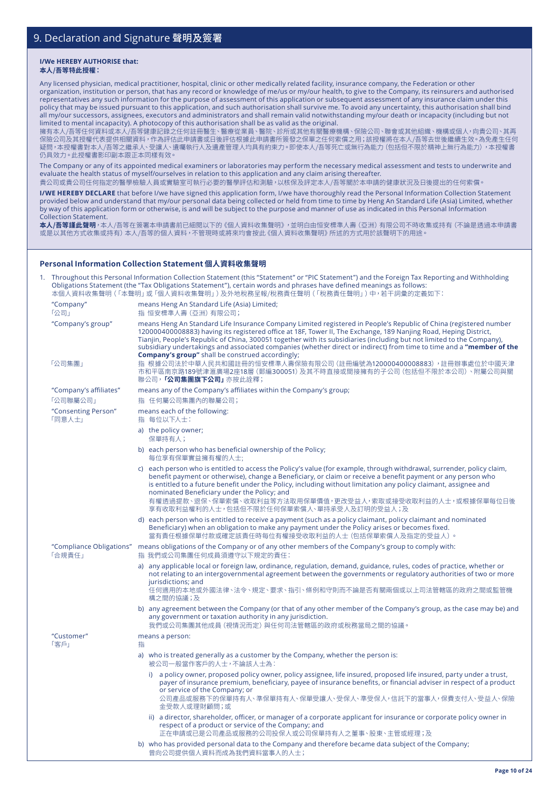#### **I/We HEREBY AUTHORISE that: 本人/吾等特此授權:**

Any licensed physician, medical practitioner, hospital, clinic or other medically related facility, insurance company, the Federation or other

organization, institution or person, that has any record or knowledge of me/us or my/our health, to give to the Company, its reinsurers and authorised representatives any such information for the purpose of assessment of this application or subsequent assessment of any insurance claim under this policy that may be issued pursuant to this application, and such authorisation shall survive me. To avoid any uncertainty, this authorisation shall bind all my/our successors, assignees, executors and administrators and shall remain valid notwithstanding my/our death or incapacity (including but not limited to mental incapacity). A photocopy of this authorisation shall be as valid as the original.

擁有本人/吾等任何資料或本人/吾等健康記錄之任何註冊醫生、醫療從業員、醫院、診所或其他有關醫療機構、保險公司、聯會或其他組織、機構或個人,向貴公司、其再 保險公司及其授權代表提供相關資料,作為評估此申請書或日後評估根據此申請書所簽發之保單之任何索償之用;該授權將在本人/吾等去世後繼續生效。為免產生任何 疑問,本授權書對本人/吾等之繼承人、受讓人、遺囑執行人及遺產管理人均具有約束力。即使本人/吾等死亡或無行為能力(包括但不限於精神上無行為能力),本授權書 仍具效力。此授權書影印副本跟正本同樣有效。

The Company or any of its appointed medical examiners or laboratories may perform the necessary medical assessment and tests to underwrite and evaluate the health status of myself/ourselves in relation to this application and any claim arising thereafter.

貴公司或貴公司任何指定的醫學檢驗人員或實驗室可執行必要的醫學評估和測驗,以核保及評定本人/吾等關於本申請的健康狀況及日後提出的任何索償。

**I/WE HEREBY DECLARE** that before I/we have signed this application form, I/we have thoroughly read the Personal Information Collection Statement provided below and understand that my/our personal data being collected or held from time to time by Heng An Standard Life (Asia) Limited, whether by way of this application form or otherwise, is and will be subject to the purpose and manner of use as indicated in this Personal Information Collection Statement.

**本人/吾等謹此聲明**,本人/吾等在簽署本申請書前已細閱以下的《個人資料收集聲明》,並明白由恒安標準人壽(亞洲)有限公司不時收集或持有(不論是透過本申請書 或是以其他方式收集或持有)本人/吾等的個人資料,不管現時或將來均會按此《個人資料收集聲明》所述的方式用於該聲明下的用途。

### **Personal Information Collection Statement 個人資料收集聲明**

|                                    | Throughout this Personal Information Collection Statement (this "Statement" or "PIC Statement") and the Foreign Tax Reporting and Withholding<br>Obligations Statement (the "Tax Obligations Statement"), certain words and phrases have defined meanings as follows:<br>本個人資料收集聲明 (「本聲明」或 「個人資料收集聲明」) 及外地稅務呈報/稅務責任聲明 (「稅務責任聲明」) 中,若干詞彙的定義如下:                                                                                                                                                                                                                                                                                                                                                                                  |
|------------------------------------|--------------------------------------------------------------------------------------------------------------------------------------------------------------------------------------------------------------------------------------------------------------------------------------------------------------------------------------------------------------------------------------------------------------------------------------------------------------------------------------------------------------------------------------------------------------------------------------------------------------------------------------------------------------------------------------------------------------------------------|
| "Company"<br>「公司」                  | means Heng An Standard Life (Asia) Limited;<br>指 恒安標準人壽 (亞洲) 有限公司;                                                                                                                                                                                                                                                                                                                                                                                                                                                                                                                                                                                                                                                             |
| "Company's group"<br>「公司集團」        | means Heng An Standard Life Insurance Company Limited registered in People's Republic of China (registered number<br>120000400008883) having its registered office at 18F, Tower II, The Exchange, 189 Nanjing Road, Heping District,<br>Tianjin, People's Republic of China, 300051 together with its subsidiaries (including but not limited to the Company),<br>subsidiary undertakings and associated companies (whether direct or indirect) from time to time and a "member of the<br><b>Company's group"</b> shall be construed accordingly;<br>指 根據公司法於中華人民共和國註冊的恒安標準人壽保險有限公司 (註冊編號為120000400008883),註冊辦事處位於中國天津<br>市和平區南京路189號津滙廣場2座18層 (郵編300051) 及其不時直接或間接擁有的子公司 (包括但不限於本公司)、附屬公司與關<br>聯公司, <b>「公司集團旗下公司」</b> 亦按此詮釋; |
| "Company's affiliates"             | means any of the Company's affiliates within the Company's group;                                                                                                                                                                                                                                                                                                                                                                                                                                                                                                                                                                                                                                                              |
| 「公司聯屬公司」                           | 指 任何屬公司集團內的聯屬公司;                                                                                                                                                                                                                                                                                                                                                                                                                                                                                                                                                                                                                                                                                                               |
| "Consenting Person"<br>「同意人士」      | means each of the following:<br>指 每位以下人士:                                                                                                                                                                                                                                                                                                                                                                                                                                                                                                                                                                                                                                                                                      |
|                                    | a) the policy owner;<br>保單持有人;                                                                                                                                                                                                                                                                                                                                                                                                                                                                                                                                                                                                                                                                                                 |
|                                    | b) each person who has beneficial ownership of the Policy;<br>每位享有保單實益擁有權的人士:                                                                                                                                                                                                                                                                                                                                                                                                                                                                                                                                                                                                                                                  |
|                                    | c) each person who is entitled to access the Policy's value (for example, through withdrawal, surrender, policy claim,<br>benefit payment or otherwise), change a Beneficiary, or claim or receive a benefit payment or any person who<br>is entitled to a future benefit under the Policy, including without limitation any policy claimant, assignee and<br>nominated Beneficiary under the Policy; and<br>有權透過提款、退保、保單索償、收取利益等方法取用保單價值,更改受益人,索取或接受收取利益的人士,或根據保單每位日後<br>享有收取利益權利的人士,包括但不限於任何保單索償人、單持承受人及訂明的受益人;及                                                                                                                                                                                                             |
|                                    | d) each person who is entitled to receive a payment (such as a policy claimant, policy claimant and nominated<br>Beneficiary) when an obligation to make any payment under the Policy arises or becomes fixed.<br>當有責任根據保單付款或確定該責任時每位有權接受收取利益的人士(包括保單索償人及指定的受益人)。                                                                                                                                                                                                                                                                                                                                                                                                                                                              |
| "Compliance Obligations"<br>「合規責任」 | means obligations of the Company or of any other members of the Company's group to comply with:<br>指 我們或公司集團任何成員須遵守以下規定的責任:                                                                                                                                                                                                                                                                                                                                                                                                                                                                                                                                                                                                    |
|                                    | a) any applicable local or foreign law, ordinance, regulation, demand, guidance, rules, codes of practice, whether or<br>not relating to an intergovernmental agreement between the governments or regulatory authorities of two or more<br>jurisdictions; and<br>任何適用的本地或外國法律、法令、規定、要求、指引、條例和守則而不論是否有關兩個或以上司法管轄區的政府之間或監管機<br>構之間的協議;及                                                                                                                                                                                                                                                                                                                                                                                         |
|                                    | b) any agreement between the Company (or that of any other member of the Company's group, as the case may be) and<br>any government or taxation authority in any jurisdiction.<br>我們或公司集團其他成員 (視情況而定) 與任何司法管轄區的政府或稅務當局之間的協議。                                                                                                                                                                                                                                                                                                                                                                                                                                                                                                   |
| "Customer"                         | means a person:                                                                                                                                                                                                                                                                                                                                                                                                                                                                                                                                                                                                                                                                                                                |
| 「客戶」                               | 指                                                                                                                                                                                                                                                                                                                                                                                                                                                                                                                                                                                                                                                                                                                              |
|                                    | a) who is treated generally as a customer by the Company, whether the person is:<br>被公司一般常作客户的人士,不論該人士為:                                                                                                                                                                                                                                                                                                                                                                                                                                                                                                                                                                                                                       |
|                                    | i) a policy owner, proposed policy owner, policy assignee, life insured, proposed life insured, party under a trust,<br>payer of insurance premium, beneficiary, payee of insurance benefits, or financial adviser in respect of a product<br>or service of the Company; or<br>公司產品或服務下的保單持有人、準保單持有人、保單受讓人、受保人、準受保人,信託下的當事人,保費支付人、受益人、保險<br>金受款人或理財顧問;或                                                                                                                                                                                                                                                                                                                                                                        |
|                                    | ii) a director, shareholder, officer, or manager of a corporate applicant for insurance or corporate policy owner in<br>respect of a product or service of the Company; and<br>正在申請或已是公司產品或服務的公司投保人或公司保單持有人之董事、股東、主管或經理;及                                                                                                                                                                                                                                                                                                                                                                                                                                                                                                      |
|                                    | b) who has provided personal data to the Company and therefore became data subject of the Company;<br>曾向公司提供個人資料而成為我們資料當事人的人士;                                                                                                                                                                                                                                                                                                                                                                                                                                                                                                                                                                                                 |
|                                    |                                                                                                                                                                                                                                                                                                                                                                                                                                                                                                                                                                                                                                                                                                                                |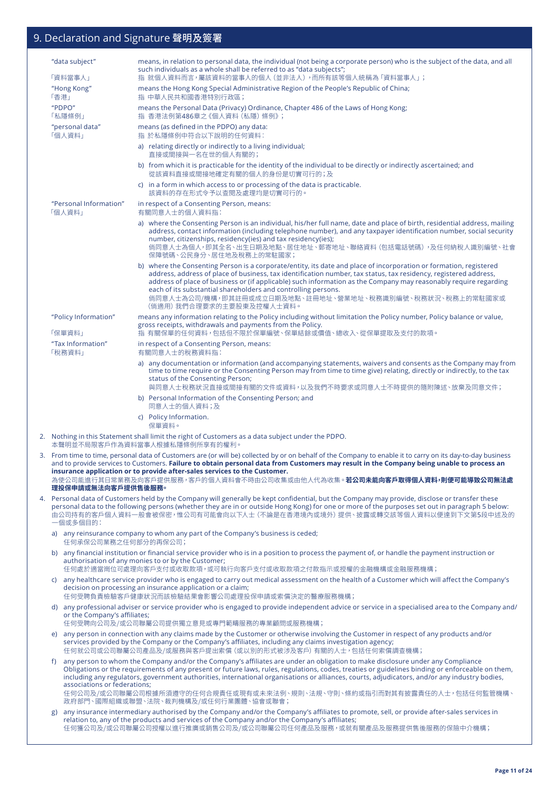|    | "data subject"                   |                              | means, in relation to personal data, the individual (not being a corporate person) who is the subject of the data, and all<br>such individuals as a whole shall be referred to as "data subjects";                                                                                                                                                                                                                                                                                                                   |
|----|----------------------------------|------------------------------|----------------------------------------------------------------------------------------------------------------------------------------------------------------------------------------------------------------------------------------------------------------------------------------------------------------------------------------------------------------------------------------------------------------------------------------------------------------------------------------------------------------------|
|    | 「資料當事人」<br>"Hong Kong"           |                              | 指 就個人資料而言,屬該資料的當事人的個人(並非法人),而所有該等個人統稱為「資料當事人」;<br>means the Hong Kong Special Administrative Region of the People's Republic of China;                                                                                                                                                                                                                                                                                                                                                                               |
|    | 「香港」                             |                              | 指 中華人民共和國香港特別行政區;                                                                                                                                                                                                                                                                                                                                                                                                                                                                                                    |
|    | "PDPO"<br>「私隱條例」                 |                              | means the Personal Data (Privacy) Ordinance, Chapter 486 of the Laws of Hong Kong;<br>指 香港法例第486章之《個人資料 (私隱) 條例》;                                                                                                                                                                                                                                                                                                                                                                                                    |
|    | "personal data"<br>「個人資料」        |                              | means (as defined in the PDPO) any data:<br>指 於私隱條例中符合以下說明的任何資料:                                                                                                                                                                                                                                                                                                                                                                                                                                                     |
|    |                                  |                              | a) relating directly or indirectly to a living individual;                                                                                                                                                                                                                                                                                                                                                                                                                                                           |
|    |                                  |                              | 直接或間接與一名在世的個人有關的;<br>b) from which it is practicable for the identity of the individual to be directly or indirectly ascertained; and                                                                                                                                                                                                                                                                                                                                                                                |
|    |                                  |                              | 從該資料直接或間接地確定有關的個人的身份是切實可行的;及<br>c) in a form in which access to or processing of the data is practicable.                                                                                                                                                                                                                                                                                                                                                                                                            |
|    |                                  |                              | 該資料的存在形式令予以查閱及處理均是切實可行的。                                                                                                                                                                                                                                                                                                                                                                                                                                                                                             |
|    | "Personal Information"<br>「個人資料」 |                              | in respect of a Consenting Person, means:<br>有關同意人士的個人資料指:                                                                                                                                                                                                                                                                                                                                                                                                                                                           |
|    |                                  |                              | a) where the Consenting Person is an individual, his/her full name, date and place of birth, residential address, mailing<br>address, contact information (including telephone number), and any taxpayer identification number, social security<br>number, citizenships, residency(ies) and tax residency(ies);<br>倘同意人士為個人,即其全名、出生日期及地點、居住地址、郵寄地址、聯絡資料(包括電話號碼),及任何納稅人識別編號、社會<br>保障號碼、公民身分、居住地及稅務上的常駐國家;                                                                                                             |
|    |                                  |                              | b) where the Consenting Person is a corporate/entity, its date and place of incorporation or formation, registered<br>address, address of place of business, tax identification number, tax status, tax residency, registered address,<br>address of place of business or (if applicable) such information as the Company may reasonably require regarding<br>each of its substantial shareholders and controlling persons.<br>倘同意人士為公司/機構,即其註冊或成立日期及地點、註冊地址、營業地址、稅務識別編號、稅務狀況、稅務上的常駐國家或<br>(倘適用) 我們合理要求的主要股東及控權人士資料。 |
|    | "Policy Information"             |                              | means any information relating to the Policy including without limitation the Policy number, Policy balance or value,<br>gross receipts, withdrawals and payments from the Policy.                                                                                                                                                                                                                                                                                                                                   |
|    | 「保單資料」<br>"Tax Information"      |                              | 指 有關保單的任何資料,包括但不限於保單編號、保單結餘或價值、總收入、從保單提取及支付的款項。                                                                                                                                                                                                                                                                                                                                                                                                                                                                      |
|    | 「稅務資料」                           |                              | in respect of a Consenting Person, means:<br>有關同意人士的稅務資料指:                                                                                                                                                                                                                                                                                                                                                                                                                                                           |
|    |                                  |                              | a) any documentation or information (and accompanying statements, waivers and consents as the Company may from<br>time to time require or the Consenting Person may from time to time give) relating, directly or indirectly, to the tax<br>status of the Consenting Person;<br>與同意人士稅務狀況直接或間接有關的文件或資料,以及我們不時要求或同意人士不時提供的隨附陳述、放棄及同意文件;                                                                                                                                                                               |
|    |                                  |                              | b) Personal Information of the Consenting Person; and<br>同意人士的個人資料;及                                                                                                                                                                                                                                                                                                                                                                                                                                                 |
|    |                                  |                              | c) Policy Information.                                                                                                                                                                                                                                                                                                                                                                                                                                                                                               |
|    |                                  |                              | 保單資料。<br>2. Nothing in this Statement shall limit the right of Customers as a data subject under the PDPO.                                                                                                                                                                                                                                                                                                                                                                                                           |
|    |                                  |                              | 本聲明並不局限客戶作為資料當事人根據私隱條例所享有的權利。<br>3. From time to time, personal data of Customers are (or will be) collected by or on behalf of the Company to enable it to carry on its day-to-day business                                                                                                                                                                                                                                                                                                                         |
|    | 理投保申請或無法向客戶提供售後服務。               |                              | and to provide services to Customers. Failure to obtain personal data from Customers may result in the Company being unable to process an<br>insurance application or to provide after-sales services to the Customer.<br>為使公司能進行其日常業務及向客戶提供服務,客戶的個人資料會不時由公司收集或由他人代為收集。 <b>若公司未能向客戶取得個人資料,則便可能導致公司無法處</b>                                                                                                                                                                                                            |
| 4. |                                  |                              | Personal data of Customers held by the Company will generally be kept confidential, but the Company may provide, disclose or transfer these<br>personal data to the following persons (whether they are in or outside Hong Kong) for one or more of the purposes set out in paragraph 5 below:                                                                                                                                                                                                                       |
|    | 一個或多個目的:                         |                              | 由公司持有的客戶個人資料一般會被保密,惟公司有可能會向以下人士 (不論是在香港境內或境外) 提供、披露或轉交該等個人資料以便達到下文第5段中述及的                                                                                                                                                                                                                                                                                                                                                                                                                                            |
|    |                                  |                              | a) any reinsurance company to whom any part of the Company's business is ceded;<br>任何承保公司業務之任何部分的再保公司;                                                                                                                                                                                                                                                                                                                                                                                                               |
|    | b)                               |                              | any financial institution or financial service provider who is in a position to process the payment of, or handle the payment instruction or<br>authorisation of any monies to or by the Customer;<br>任何處於適當崗位可處理向客戶支付或收取款項,或可執行向客戶支付或收取款項之付款指示或授權的金融機構或金融服務機構;                                                                                                                                                                                                                                                      |
|    |                                  |                              | c) any healthcare service provider who is engaged to carry out medical assessment on the health of a Customer which will affect the Company's<br>decision on processing an insurance application or a claim;                                                                                                                                                                                                                                                                                                         |
|    |                                  | or the Company's affiliates; | 任何受聘負責檢驗客戶健康狀況而該檢驗結果會影響公司處理投保申請或索償決定的醫療服務機構;<br>d) any professional adviser or service provider who is engaged to provide independent advice or service in a specialised area to the Company and/                                                                                                                                                                                                                                                                                                                    |
|    |                                  |                              | 任何受聘向公司及/或公司聯屬公司提供獨立意見或專門範疇服務的專業顧問或服務機構;                                                                                                                                                                                                                                                                                                                                                                                                                                                                             |
|    | e)                               |                              | any person in connection with any claims made by the Customer or otherwise involving the Customer in respect of any products and/or<br>services provided by the Company or the Company's affiliates, including any claims investigation agency;<br>任何就公司或公司聯屬公司產品及/或服務與客戶提出索償 (或以別的形式被涉及客戶) 有關的人士,包括任何索償調查機構;                                                                                                                                                                                                        |
|    | f)                               | associations or federations; | any person to whom the Company and/or the Company's affiliates are under an obligation to make disclosure under any Compliance<br>Obligations or the requirements of any present or future laws, rules, regulations, codes, treaties or guidelines binding or enforceable on them,<br>including any regulators, government authorities, international organisations or alliances, courts, adjudicators, and/or any industry bodies,                                                                                  |
|    |                                  |                              | 任何公司及/或公司聯屬公司根據所須遵守的任何合規責任或現有或未來法例、規則、法規、守則、條約或指引而對其有披露責任的人士,包括任何監管機構、<br>政府部門、國際組織或聯盟、法院、裁判機構及/或任何行業團體、協會或聯會;                                                                                                                                                                                                                                                                                                                                                                                                       |
|    | g)                               |                              | any insurance intermediary authorised by the Company and/or the Company's affiliates to promote, sell, or provide after-sales services in<br>relation to, any of the products and services of the Company and/or the Company's affiliates;<br>任何獲公司及/或公司聯屬公司授權以進行推廣或銷售公司及/或公司聯屬公司任何產品及服務,或就有關產品及服務提供售後服務的保險中介機構;                                                                                                                                                                                                     |
|    |                                  |                              |                                                                                                                                                                                                                                                                                                                                                                                                                                                                                                                      |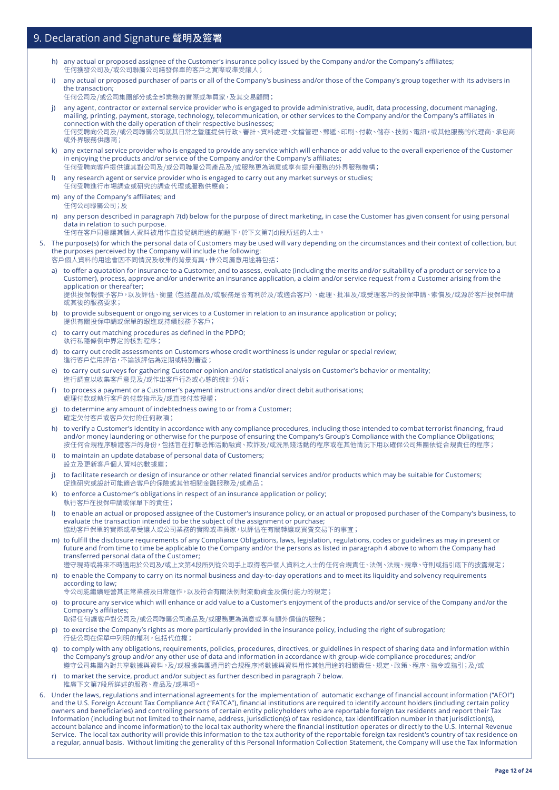- h) any actual or proposed assignee of the Customer's insurance policy issued by the Company and/or the Company's affiliates; 任何獲發公司及/或公司聯屬公司繕發保單的客戶之實際或準受讓人;
- i) any actual or proposed purchaser of parts or all of the Company's business and/or those of the Company's group together with its advisers in the transaction;
- 任何公司及/或公司集團部分或全部業務的實際或準買家,及其交易顧問;
- j) any agent, contractor or external service provider who is engaged to provide administrative, audit, data processing, document managing, mailing, printing, payment, storage, technology, telecommunication, or other services to the Company and/or the Company's affiliates in connection with the daily operation of their respective businesses; 任何受聘向公司及/或公司聯屬公司就其日常之營運提供行政、審計、資料處理、文檔管理、郵遞、印刷、付款、儲存、技術、電訊,或其他服務的代理商、承包商 或外界服務供應商;
- k) any external service provider who is engaged to provide any service which will enhance or add value to the overall experience of the Customer in enjoying the products and/or service of the Company and/or the Company's affiliates; 任何受聘向客戶提供讓其對公司及/或公司聯屬公司產品及/或服務更為滿意或享有提升服務的外界服務機構;
- l) any research agent or service provider who is engaged to carry out any market surveys or studies; 任何受聘進行市場調查或研究的調查代理或服務供應商;
- m) any of the Company's affiliates; and 任何公司聯屬公司;及
- n) any person described in paragraph 7(d) below for the purpose of direct marketing, in case the Customer has given consent for using personal data in relation to such purpose.
	- 任何在客戶同意讓其個人資料被用作直接促銷用途的前題下,於下文第7(d)段所述的人士。
- 5. The purpose(s) for which the personal data of Customers may be used will vary depending on the circumstances and their context of collection, but the purposes perceived by the Company will include the following:
	- 客戶個人資料的用途會因不同情況及收集的背景有異,惟公司屬意用途將包括:
	- a) to offer a quotation for insurance to a Customer, and to assess, evaluate (including the merits and/or suitability of a product or service to a Customer), process, approve and/or underwrite an insurance application, a claim and/or service request from a Customer arising from the application or thereafter; 提供投保報價予客戶,以及評估、衡量(包括產品及/或服務是否有利於及/或適合客戶)、處理、批准及/或受理客戶的投保申請、索償及/或源於客戶投保申請 或其後的服務要求;
	- b) to provide subsequent or ongoing services to a Customer in relation to an insurance application or policy; 提供有關投保申請或保單的跟進或持續服務予客戶;
	- c) to carry out matching procedures as defined in the PDPO; 執行私隱條例中界定的核對程序;
	- d) to carry out credit assessments on Customers whose credit worthiness is under regular or special review; 進行客戶信用評估,不論該評估為定期或特別審查;
	- e) to carry out surveys for gathering Customer opinion and/or statistical analysis on Customer's behavior or mentality; 進行調查以收集客戶意見及/或作出客戶行為或心態的統計分析;
	- f) to process a payment or a Customer's payment instructions and/or direct debit authorisations; 處理付款或執行客戶的付款指示及/或直接付款授權;
	- g) to determine any amount of indebtedness owing to or from a Customer; 確定欠付客戶或客戶欠付的任何款項;
	- h) to verify a Customer's identity in accordance with any compliance procedures, including those intended to combat terrorist financing, fraud and/or money laundering or otherwise for the purpose of ensuring the Company's Group's Compliance with the Compliance Obligations; 按任何合規程序驗證客戶的身份,包括旨在打擊恐怖活動融資、欺詐及/或洗黑錢活動的程序或在其他情況下用以確保公司集團依從合規責任的程序;
	- i) to maintain an update database of personal data of Customers; 設立及更新客戶個人資料的數據庫;
	- j) to facilitate research or design of insurance or other related financial services and/or products which may be suitable for Customers; 促進研究或設計可能適合客戶的保險或其他相關金融服務及/或產品;
	- k) to enforce a Customer's obligations in respect of an insurance application or policy; 執行客戶在投保申請或保單下的責任;
	- l) to enable an actual or proposed assignee of the Customer's insurance policy, or an actual or proposed purchaser of the Company's business, to evaluate the transaction intended to be the subject of the assignment or purchase; 協助客戶保單的實際或準受讓人或公司業務的實際或準買家,以評估在有關轉讓或買賣交易下的事宜;
	- m) to fulfill the disclosure requirements of any Compliance Obligations, laws, legislation, regulations, codes or guidelines as may in present or future and from time to time be applicable to the Company and/or the persons as listed in paragraph 4 above to whom the Company had transferred personal data of the Customer;

遵守現時或將來不時適用於公司及/或上文第4段所列從公司手上取得客戶個人資料之人士的任何合規責任、法例、法規、規章、守則或指引底下的披露規定; n) to enable the Company to carry on its normal business and day-to-day operations and to meet its liquidity and solvency requirements

- according to law; 令公司能繼續經營其正常業務及日常運作,以及符合有關法例對流動資金及償付能力的規定;
- o) to procure any service which will enhance or add value to a Customer's enjoyment of the products and/or service of the Company and/or the Company's affiliates;

取得任何讓客戶對公司及/或公司聯屬公司產品及/或服務更為滿意或享有額外價值的服務;

- p) to exercise the Company's rights as more particularly provided in the insurance policy, including the right of subrogation; 行使公司在保單中列明的權利,包括代位權;
- q) to comply with any obligations, requirements, policies, procedures, directives, or guidelines in respect of sharing data and information within the Company's group and/or any other use of data and information in accordance with group-wide compliance procedures; and/or 遵守公司集團內對共享數據與資料,及/或根據集團通用的合規程序將數據與資料用作其他用途的相關責任、規定、政策、程序、指令或指引;及/或
- r) to market the service, product and/or subject as further described in paragraph 7 below. 推廣下文第7段所詳述的服務、產品及/或事項
- 6. Under the laws, regulations and international agreements for the implementation of automatic exchange of financial account information ("AEOI") and the U.S. Foreign Account Tax Compliance Act ("FATCA"), financial institutions are required to identify account holders (including certain policy owners and beneficiaries) and controlling persons of certain entity policyholders who are reportable foreign tax residents and report their Tax Information (including but not limited to their name, address, jurisdiction(s) of tax residence, tax identification number in that jurisdiction(s), account balance and income information) to the local tax authority where the financial institution operates or directly to the U.S. Internal Revenue Service. The local tax authority will provide this information to the tax authority of the reportable foreign tax resident's country of tax residence on a regular, annual basis. Without limiting the generality of this Personal Information Collection Statement, the Company will use the Tax Information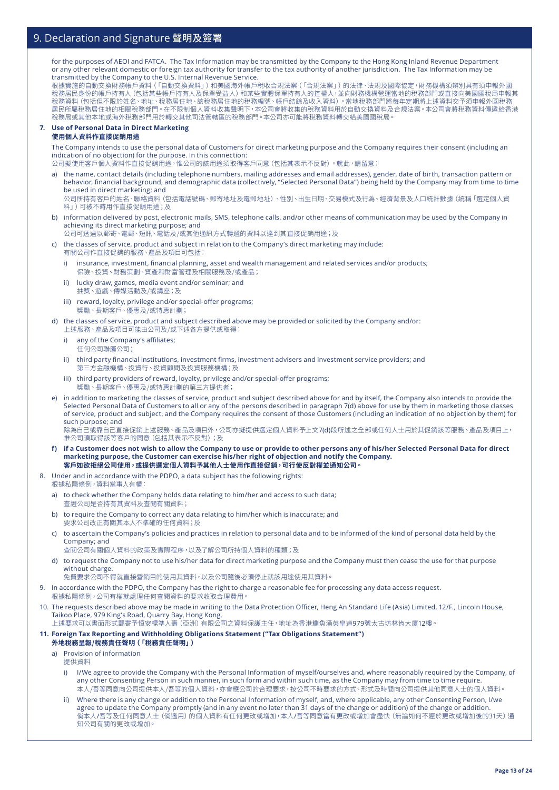for the purposes of AEOI and FATCA. The Tax Information may be transmitted by the Company to the Hong Kong Inland Revenue Department or any other relevant domestic or foreign tax authority for transfer to the tax authority of another jurisdiction. The Tax Information may be transmitted by the Company to the U.S. Internal Revenue Service.

根據實施的自動交換財務帳戶資料(「自動交換資料」)和美國海外帳戶稅收合規法案(「合規法案」)的法律、法規及國際協定,財務機構須辨別具有須申報外國 稅務居民身份的帳戶持有人(包括某些帳戶持有人及保單受益人)和某些實體保單持有人的控權人,並向財務機構營運當地的稅務部門或直接向美國國稅局申報其 稅務資料(包括但不限於姓名、地址、稅務居住地、該稅務居住地的稅務編號、帳戶結餘及收入資料)。當地稅務部門將每年定期將上述資料交予須申報外國稅務 居民所屬稅務居住地的相關稅務部門。在不限制個人資料收集聲明下,本公司會將收集的稅務資料用於自動交換資料及合規法案。本公司會將稅務資料傳遞給香港 稅務局或其他本地或海外稅務部門用於轉交其他司法管轄區的稅務部門。本公司亦可能將稅務資料轉交給美國國稅局。

#### **7. Use of Personal Data in Direct Marketing 使用個人資料作直接促銷用途**

The Company intends to use the personal data of Customers for direct marketing purpose and the Company requires their consent (including an indication of no objection) for the purpose. In this connection:

公司擬使用客戶個人資料作直接促銷用途,惟公司的該用途須取得客戶同意(包括其表示不反對)。就此,請留意:

a) the name, contact details (including telephone numbers, mailing addresses and email addresses), gender, date of birth, transaction pattern or behavior, financial background, and demographic data (collectively, "Selected Personal Data") being held by the Company may from time to time be used in direct marketing; and

公司所持有客戶的姓名、聯絡資料(包括電話號碼、郵寄地址及電郵地址)、性別、出生日期、交易模式及行為、經濟背景及人口統計數據(統稱「選定個人資 料」)可被不時用作直接促銷用途;及

b) information delivered by post, electronic mails, SMS, telephone calls, and/or other means of communication may be used by the Company in achieving its direct marketing purpose; and

公司可透過以郵寄、電郵、短訊、電話及/或其他通訊方式轉遞的資料以達到其直接促銷用途;及

c) the classes of service, product and subject in relation to the Company's direct marketing may include: 有關公司作直接促銷的服務、產品及項目可包括:

- i) insurance, investment, financial planning, asset and wealth management and related services and/or products; 保險、投資、財務策劃、資產和財富管理及相關服務及/或產品;
- ii) lucky draw, games, media event and/or seminar; and 抽獎、遊戲、傳媒活動及/或講座;及
- iii) reward, loyalty, privilege and/or special-offer programs; 獎勵、長期客戶、優惠及/或特惠計劃;
- d) the classes of service, product and subject described above may be provided or solicited by the Company and/or: 上述服務、產品及項目可能由公司及/或下述各方提供或取得:
	- i) any of the Company's affiliates; 任何公司聯屬公司;
	- ii) third party financial institutions, investment firms, investment advisers and investment service providers; and 第三方金融機構、投資行、投資顧問及投資服務機構;及
	- iii) third party providers of reward, loyalty, privilege and/or special-offer programs; 獎勵、長期客戶、優惠及/或特惠計劃的第三方提供者;
- e) in addition to marketing the classes of service, product and subject described above for and by itself, the Company also intends to provide the Selected Personal Data of Customers to all or any of the persons described in paragraph 7(d) above for use by them in marketing those classes of service, product and subject, and the Company requires the consent of those Customers (including an indication of no objection by them) for such purpose; and 除為自己或靠自己直接促銷上述服務、產品及項目外,公司亦擬提供選定個人資料予上文7(d)段所述之全部或任何人士用於其促銷該等服務、產品及項目上,

惟公司須取得該等客戶的同意(包括其表示不反對);及

- **f) if a Customer does not wish to allow the Company to use or provide to other persons any of his/her Selected Personal Data for direct marketing purpose, the Customer can exercise his/her right of objection and notify the Company. 客戶如欲拒絕公司使用,或提供選定個人資料予其他人士使用作直接促銷,可行使反對權並通知公司。**
- 8. Under and in accordance with the PDPO, a data subject has the following rights: 根據私隱條例,資料當事人有權:
	- a) to check whether the Company holds data relating to him/her and access to such data; 查證公司是否持有其資料及查閱有關資料;
	- b) to require the Company to correct any data relating to him/her which is inaccurate; and 要求公司改正有關其本人不準確的任何資料;及
	- c) to ascertain the Company's policies and practices in relation to personal data and to be informed of the kind of personal data held by the Company; and 查閱公司有關個人資料的政策及實際程序,以及了解公司所持個人資料的種類;及
	- d) to request the Company not to use his/her data for direct marketing purpose and the Company must then cease the use for that purpose without charge.
	- 免費要求公司不得就直接營銷目的使用其資料,以及公司隨後必須停止就該用途使用其資料。
- 9. In accordance with the PDPO, the Company has the right to charge a reasonable fee for processing any data access request.
	- 根據私隱條例,公司有權就處理任何查閱資料的要求收取合理費用。
- 10. The requests described above may be made in writing to the Data Protection Officer, Heng An Standard Life (Asia) Limited, 12/F., Lincoln House, Taikoo Place, 979 King's Road, Quarry Bay, Hong Kong.

上述要求可以書面形式郵寄予恒安標準人壽(亞洲)有限公司之資料保護主任,地址為香港鰂魚涌英皇道979號太古坊林肯大廈12樓。

### **11. Foreign Tax Reporting and Withholding Obligations Statement ("Tax Obligations Statement")**

### **外地稅務呈報/稅務責任聲明(「稅務責任聲明」)**

- a) Provision of information
	- 提供資料
	- i) I/We agree to provide the Company with the Personal Information of myself/ourselves and, where reasonably required by the Company, of any other Consenting Person in such manner, in such form and within such time, as the Company may from time to time require. 本人/吾等同意向公司提供本人/吾等的個人資料,亦會應公司的合理要求,按公司不時要求的方式、形式及時間向公司提供其他同意人士的個人資料。
	- ii) Where there is any change or addition to the Personal Information of myself, and, where applicable, any other Consenting Person, I/we agree to update the Company promptly (and in any event no later than 31 days of the change or addition) of the change or addition. 倘本人/吾等及任何同意人士(倘適用)的個人資料有任何更改或增加,本人/吾等同意當有更改或增加會盡快(無論如何不遲於更改或增加後的31天)通 知公司有關的更改或增加。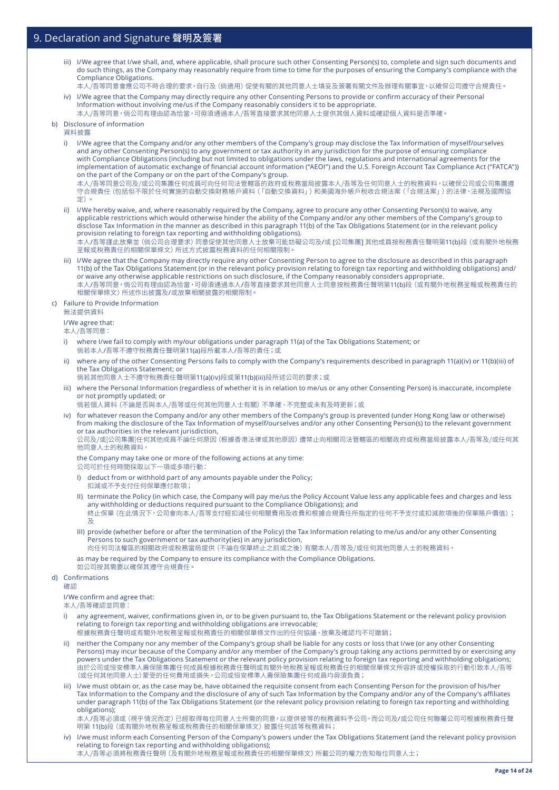- iii) I/We agree that I/we shall, and, where applicable, shall procure such other Consenting Person(s) to, complete and sign such documents and do such things, as the Company may reasonably require from time to time for the purposes of ensuring the Company's compliance with the Compliance Obligations.
- 本人/吾等同意會應公司不時合理的要求,自行及(倘適用)促使有關的其他同意人士填妥及簽署有關文件及辦理有關事宜,以確保公司遵守合規責任。 iv) I/We agree that the Company may directly require any other Consenting Persons to provide or confirm accuracy of their Personal
- Information without involving me/us if the Company reasonably considers it to be appropriate. 本人/吾等同意,倘公司有理由認為恰當,可毋須通過本人/吾等直接要求其他同意人士提供其個人資料或確認個人資料是否準確。

#### b) Disclosure of information

資料披露

- i) I/We agree that the Company and/or any other members of the Company's group may disclose the Tax Information of myself/ourselves and any other Consenting Person(s) to any government or tax authority in any jurisdiction for the purpose of ensuring compliance with Compliance Obligations (including but not limited to obligations under the laws, regulations and international agreements for the implementation of automatic exchange of financial account information ("AEOI") and the U.S. Foreign Account Tax Compliance Act ("FATCA")) on the part of the Company or on the part of the Company's group. 本人/吾等同意公司及/或公司集團任何成員可向任何司法管轄區的政府或稅務當局披露本人/吾等及任何同意人士的稅務資料,以確保公司或公司集團遵
- 守合規責任(包括但不限於任何實施的自動交換財務帳戶資料(「自動交換資料」)和美國海外帳戶稅收合規法案(「合規法案」)的法律、法規及國際協 定)。
- ii) I/We hereby waive, and, where reasonably required by the Company, agree to procure any other Consenting Person(s) to waive, any applicable restrictions which would otherwise hinder the ability of the Company and/or any other members of the Company's group to disclose Tax Information in the manner as described in this paragraph 11(b) of the Tax Obligations Statement (or in the relevant policy provision relating to foreign tax reporting and withholding obligations).

本人/吾等謹此放棄並(倘公司合理要求)同意促使其他同意人士放棄可能妨礙公司及/或 [公司集團] 其他成員按稅務責任聲明第11(b)段(或有關外地稅務 呈報或稅務責任的相關保單條文)所述方式披露稅務資料的任何相關限制。

iii) I/We agree that the Company may directly require any other Consenting Person to agree to the disclosure as described in this paragraph 11(b) of the Tax Obligations Statement (or in the relevant policy provision relating to foreign tax reporting and withholding obligations) and/ or waive any otherwise applicable restrictions on such disclosure, if the Company reasonably considers appropriate. 本人/吾等同意,倘公司有理由認為恰當,可毋須通過本人/吾等直接要求其他同意人士同意按稅務責任聲明第11(b)段 (或有關外地稅務呈報或稅務責任的 相關保單條文)所述作出披露及/或放棄相關披露的相關限制。

#### c) Failure to Provide Information

無法提供資料

#### I/We agree that:

本人/吾等同意:

- where I/we fail to comply with my/our obligations under paragraph 11(a) of the Tax Obligations Statement; or 倘若本人/吾等不遵守稅務責任聲明第11(a)段所載本人/吾等的責任;或
- ii) where any of the other Consenting Persons fails to comply with the Company's requirements described in paragraph 11(a)(iv) or 11(b)(iii) of the Tax Obligations Statement; or
- 倘若其他同意人士不遵守稅務責任聲明第11(a)(iv)段或第11(b)(iii)段所述公司的要求;或
- iii) where the Personal Information (regardless of whether it is in relation to me/us or any other Consenting Person) is inaccurate, incomplete or not promptly updated; or

倘若個人資料(不論是否與本人/吾等或任何其他同意人士有關)不準確、不完整或未有及時更新;或

iv) for whatever reason the Company and/or any other members of the Company's group is prevented (under Hong Kong law or otherwise) from making the disclosure of the Tax Information of myself/ourselves and/or any other Consenting Person(s) to the relevant government or tax authorities in the relevant jurisdiction,

公司及/或[公司集團]任何其他成員不論任何原因(根據香港法律或其他原因)遭禁止向相關司法管轄區的相關政府或稅務當局披露本人/吾等及/或任何其 他同意人士的稅務資料,

the Company may take one or more of the following actions at any time:

- 公司可於任何時間採取以下一項或多項行動:
- I) deduct from or withhold part of any amounts payable under the Policy; 扣減或不予支付任何保單應付款項;
- II) terminate the Policy (in which case, the Company will pay me/us the Policy Account Value less any applicable fees and charges and less any withholding or deductions required pursuant to the Compliance Obligations); and 終止保單 (在此情況下,公司會向本人/吾等支付經扣減任何相關費用及收費和根據合規責任所指定的任何不予支付或扣減款項後的保單賬戶價值); 及
- III) provide (whether before or after the termination of the Policy) the Tax Information relating to me/us and/or any other Consenting Persons to such government or tax authority(ies) in any jurisdiction,

向任何司法權區的相關政府或稅務當局提供(不論在保單終止之前或之後)有關本人/吾等及/或任何其他同意人士的稅務資料,

as may be required by the Company to ensure its compliance with the Compliance Obligations. 如公司按其需要以確保其遵守合規責任。

#### d) Confirmations

確認

#### I/We confirm and agree that:

本人/吾等確認並同意:

i) any agreement, waiver, confirmations given in, or to be given pursuant to, the Tax Obligations Statement or the relevant policy provision relating to foreign tax reporting and withholding obligations are irrevocable;

. - - - ...<br>根據稅務責任聲明或有關外地稅務呈報或稅務責任的相關保單條文作出的任何協議、放棄及確認均不可撤銷;

- ii) neither the Company nor any member of the Company's group shall be liable for any costs or loss that I/we (or any other Consenting Persons) may incur because of the Company and/or any member of the Company's group taking any actions permitted by or exercising any powers under the Tax Obligations Statement or the relevant policy provision relating to foreign tax reporting and withholding obligations; 由於公司或恒安標準人壽保險集團任何成員根據稅務責任聲明或有關外地稅務呈報或稅務責任的相關保單條文所容許或授權採取的行動引致本人/吾等 (或任何其他同意人士)蒙受的任何費用或損失,公司或恒安標準人壽保險集團任何成員均毋須負責;
- iii) I/we must obtain or, as the case may be, have obtained the requisite consent from each Consenting Person for the provision of his/her Tax Information to the Company and the disclosure of any of such Tax Information by the Company and/or any of the Company's affiliates under paragraph 11(b) of the Tax Obligations Statement (or the relevant policy provision relating to foreign tax reporting and withholding obligations);

本人/吾等必須或(視乎情況而定)已經取得每位同意人士所需的同意,以提供彼等的稅務資料予公司,而公司及/或公司任何聯屬公司可根據稅務責任聲 明第 11(b)段(或有關外地稅務呈報或稅務責任的相關保單條文)披露任何該等稅務資料;

iv) I/we must inform each Consenting Person of the Company's powers under the Tax Obligations Statement (and the relevant policy provision relating to foreign tax reporting and withholding obligations); 本人/吾等必須將稅務責任聲明(及有關外地稅務呈報或稅務責任的相關保單條文)所載公司的權力告知每位同意人士;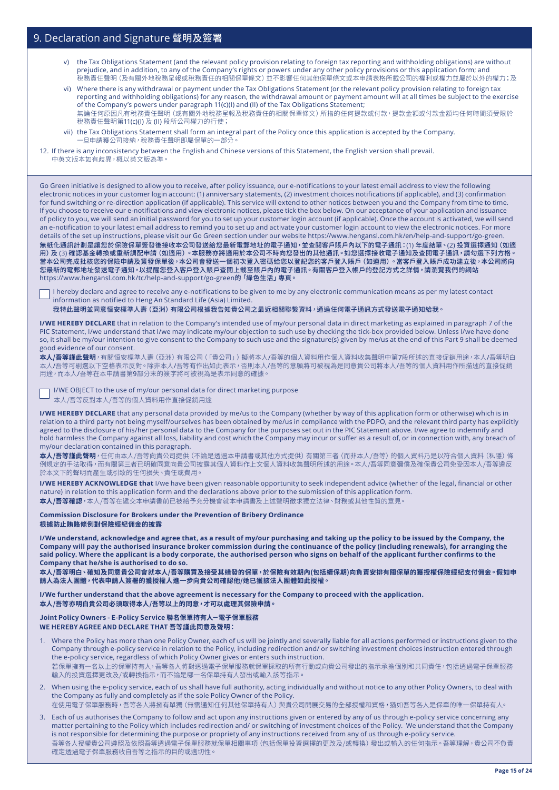- v) the Tax Obligations Statement (and the relevant policy provision relating to foreign tax reporting and withholding obligations) are without prejudice, and in addition, to any of the Company's rights or powers under any other policy provisions or this application form; and 稅務責任聲明(及有關外地稅務呈報或稅務責任的相關保單條文)並不影響任何其他保單條文或本申請表格所載公司的權利或權力並屬於以外的權力;及
- vi) Where there is any withdrawal or payment under the Tax Obligations Statement (or the relevant policy provision relating to foreign tax reporting and withholding obligations) for any reason, the withdrawal amount or payment amount will at all times be subject to the exercise of the Company's powers under paragraph 11(c)(I) and (II) of the Tax Obligations Statement; 無論任何原因凡有稅務責任聲明(或有關外地稅務呈報及稅務責任的相關保單條文)所指的任何提款或付款,提款金額或付款金額均任何時間須受限於 稅務責任聲明第11(c)(I) 及 (II) 段所公司權力的行使;
- vii) the Tax Obligations Statement shall form an integral part of the Policy once this application is accepted by the Company. 一旦申請獲公司接納,稅務責任聲明即屬保單的一部分。
- 12. If there is any inconsistency between the English and Chinese versions of this Statement, the English version shall prevail. 中英文版本如有歧異,概以英文版為準。

Go Green initiative is designed to allow you to receive, after policy issuance, our e-notifications to your latest email address to view the following electronic notices in your customer login account: (1) anniversary statements, (2) investment choices notifications (if applicable), and (3) confirmation for fund switching or re-direction application (if applicable). This service will extend to other notices between you and the Company from time to time. If you choose to receive our e-notifications and view electronic notices, please tick the box below. On our acceptance of your application and issuance of policy to you, we will send an initial password for you to set up your customer login account (if applicable). Once the account is activated, we will send an e-notification to your latest email address to remind you to set up and activate your customer login account to view the electronic notices. For more details of the set up instructions, please visit our Go Green section under our website https://www.hengansl.com.hk/en/help-and-support/go-green. 無紙化通訊計劃是讓您於保險保單簽發後接收本公司發送給您最新電郵地址的電子通知,並查閱客戶賬戶內以下的電子通訊:(1) 年度結單、(2) 投資選擇通知(如適 用) 及 (3) 確認基金轉換或重新調配申請 (如適用) 。本服務亦將適用於本公司不時向您發出的其他通訊。如您選擇接收電子通知及查閱電子通訊,請勾選下列方格。 富本公司完成批核您的保險申請及簽發保車後,本公司會發送一個初次登人密碼給您以登記您的客戶登人賬戶(如適用)。富客戶登人賬戶成功建立後,本公司將向 您最新的電郵地址發送電子通知,以提醒您登入客戶登入賬戶查閱上載至賬戶內的電子通訊。有關客戶登入帳戶的登記方式之詳情,請瀏覽我們的網站 https://www.hengansl.com.hk/tc/help-and-support/go-green的「綠色生活」專頁。

I hereby declare and agree to receive any e-notifications to be given to me by any electronic communication means as per my latest contact information as notified to Heng An Standard Life (Asia) Limited.

我特此聲明並同意恒安標準人壽(亞洲)有限公司根據我告知貴公司之最近相關聯繫資料,通過任何電子通訊方式發送電子通知給我。

**I/WE HEREBY DECLARE** that in relation to the Company's intended use of my/our personal data in direct marketing as explained in paragraph 7 of the PIC Statement, I/we understand that I/we may indicate my/our objection to such use by checking the tick-box provided below. Unless I/we have done so, it shall be my/our intention to give consent to the Company to such use and the signature(s) given by me/us at the end of this Part 9 shall be deemed good evidence of our consent.

**本人/吾等謹此聲明**,有關恒安標準人壽(亞洲)有限公司(「貴公司」)擬將本人/吾等的個人資料用作個人資料收集聲明中第7段所述的直接促銷用途,本人/吾等明白 .<br>./吾等可剔選以下空格表示反對。除非本人/吾等有作出如此表示,否則本人/吾等的意願將可被視為是同意貴公司將本人/吾等的個人資料用作所描述的直接促銷 用途,而本人/吾等在本申請書第9部分末的簽字將可被視為是表示同意的確據。

I/WE OBJECT to the use of my/our personal data for direct marketing purpose

本人/吾等反對本人/吾等的個人資料用作直接促銷用途

**I/WE HEREBY DECLARE** that any personal data provided by me/us to the Company (whether by way of this application form or otherwise) which is in relation to a third party not being myself/ourselves has been obtained by me/us in compliance with the PDPO, and the relevant third party has explicitly agreed to the disclosure of his/her personal data to the Company for the purposes set out in the PIC Statement above. I/we agree to indemnify and hold harmless the Company against all loss, liability and cost which the Company may incur or suffer as a result of, or in connection with, any breach of my/our declaration contained in this paragraph.

**本人/吾等謹此聲明**,任何由本人/吾等向貴公司提供(不論是透過本申請書或其他方式提供)有關第三者(而非本人/吾等)的個人資料乃是以符合個人資料(私隱)條 例規定的手法取得,而有關第三者已明確同意向貴公司披露其個人資料作上文個人資料收集聲明所述的用途。本人/吾等同意彌償及確保貴公司免受因本人/吾等違反 於本文下的聲明而產生或引致的任何損失、責任或費用。

**I/WE HEREBY ACKNOWLEDGE that** I/we have been given reasonable opportunity to seek independent advice (whether of the legal, financial or other nature) in relation to this application form and the declarations above prior to the submission of this application form. **本人/吾等確認**,本人/吾等在遞交本申請書前已被給予充分機會就本申請書及上述聲明徵求獨立法律、財務或其他性質的意見。

#### **Commission Disclosure for Brokers under the Prevention of Bribery Ordinance 根據防止賄賂條例對保險經紀佣金的披露**

**I/We understand, acknowledge and agree that, as a result of my/our purchasing and taking up the policy to be issued by the Company, the Company will pay the authorised insurance broker commission during the continuance of the policy (including renewals), for arranging the said policy. Where the applicant is a body corporate, the authorised person who signs on behalf of the applicant further confirms to the Company that he/she is authorised to do so.**

**本人/吾等明白、確知及同意貴公司會就本人/吾等購買及接受其繕發的保單,於保險有效期內(包括續保期)向負責安排有關保單的獲授權保險經紀支付佣金。假如申 請人為法人團體,代表申請人簽署的獲授權人進一步向貴公司確認他/她已獲該法人團體如此授權。**

**I/We further understand that the above agreement is necessary for the Company to proceed with the application. 本人/吾等亦明白貴公司必須取得本人/吾等以上的同意,才可以處理其保險申請。**

## **Joint Policy Owners - E-Policy Service 聯名保單持有人-電子保單服務**

### **WE HEREBY AGREE AND DECLARE THAT 吾等謹此同意及聲明:**

- 1. Where the Policy has more than one Policy Owner, each of us will be jointly and severally liable for all actions performed or instructions given to the Company through e-policy service in relation to the Policy, including redirection and/ or switching investment choices instruction entered through the e-policy service, regardless of which Policy Owner gives or enters such instruction. 若保單擁有一名以上的保單持有人,吾等各人將對透過電子保單服務就保單採取的所有行動或向貴公司發出的指示承擔個別和共同責任,包括透過電子保單服務 輸入的投資選擇更改及/或轉換指示,而不論是哪一名保單持有人發出或輸入該等指示。
- 2. When using the e-policy service, each of us shall have full authority, acting individually and without notice to any other Policy Owners, to deal with the Company as fully and completely as if the sole Policy Owner of the Policy. 在使用電子保單服務時,吾等各人將擁有單獨 (無需通知任何其他保單持有人) 與貴公司開展交易的全部授權和資格,猶如吾等各人是保單的唯一保單持有人。
- 3. Each of us authorises the Company to follow and act upon any instructions given or entered by any of us through e-policy service concerning any matter pertaining to the Policy which includes redirection and/ or switching of investment choices of the Policy. We understand that the Company is not responsible for determining the purpose or propriety of any instructions received from any of us through e-policy service.
- 吾等各人授權貴公司遵照及依照吾等透過電子保單服務就保單相關事項(包括保單投資選擇的更改及/或轉換)發出或輸入的任何指示。吾等理解,貴公司不負責 確定透過電子保單服務收自吾等之指示的目的或適切性。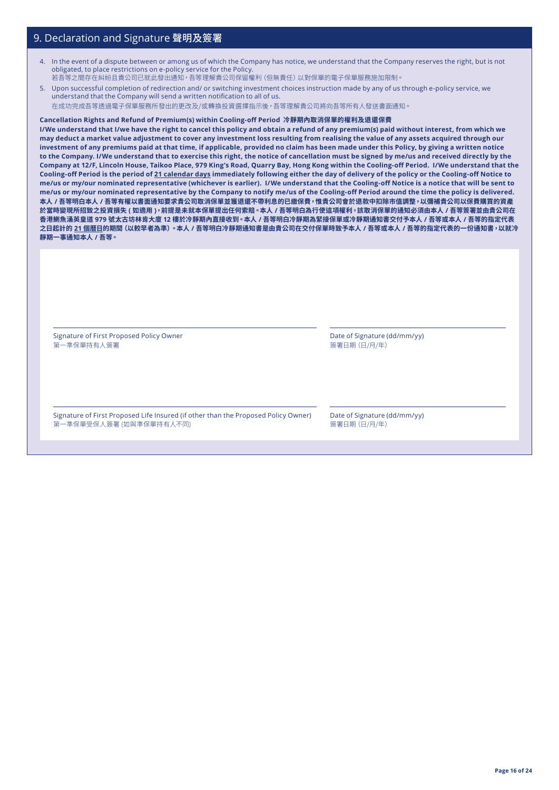- 4. In the event of a dispute between or among us of which the Company has notice, we understand that the Company reserves the right, but is not obligated, to place restrictions on e-policy service for the Policy. 若吾等之間存在糾紛且貴公司已就此發出通知,吾等理解貴公司保留權利(但無責任)以對保單的電子保單服務施加限制。
- 5. Upon successful completion of redirection and/ or switching investment choices instruction made by any of us through e-policy service, we understand that the Company will send a written notification to all of us. 在成功完成吾等透過電子保單服務所發出的更改及/或轉換投資選擇指示後,吾等理解貴公司將向吾等所有人發送書面通知。

**Cancellation Rights and Refund of Premium(s) within Cooling-off Period 冷靜期內取消保單的權利及退還保費** 

**I/We understand that I/we have the right to cancel this policy and obtain a refund of any premium(s) paid without interest, from which we may deduct a market value adjustment to cover any investment loss resulting from realising the value of any assets acquired through our investment of any premiums paid at that time, if applicable, provided no claim has been made under this Policy, by giving a written notice to the Company. I/We understand that to exercise this right, the notice of cancellation must be signed by me/us and received directly by the Company at 12/F, Lincoln House, Taikoo Place, 979 King's Road, Quarry Bay, Hong Kong within the Cooling-off Period. I/We understand that the Cooling-off Period is the period of 21 calendar days immediately following either the day of delivery of the policy or the Cooling-off Notice to me/us or my/our nominated representative (whichever is earlier). I/We understand that the Cooling-off Notice is a notice that will be sent to me/us or my/our nominated representative by the Company to notify me/us of the Cooling-off Period around the time the policy is delivered. 本人 / 吾等明白本人 / 吾等有權以書面通知要求貴公司取消保單並獲退還不帶利息的已繳保費,惟貴公司會於退款中扣除市值調整,以彌補貴公司以保費購買的資產 於當時變現所招致之投資損失 ( 如適用 ),前提是未就本保單提出任何索賠。本人 / 吾等明白為行使這項權利,該取消保單的通知必須由本人 / 吾等簽署並由貴公司在 香港鰂魚涌英皇道 979 號太古坊林肯大廈 12 樓於冷靜期內直接收到。本人 / 吾等明白冷靜期為緊接保單或冷靜期通知書交付予本人 / 吾等或本人 / 吾等的指定代表 之日起計的 21 個曆日的期間(以較早者為準)。本人 / 吾等明白冷靜期通知書是由貴公司在交付保單時致予本人 / 吾等或本人 / 吾等的指定代表的一份通知書,以就冷 靜期一事通知本人 / 吾等。**

Signature of First Proposed Policy Owner 。<br>第一準保單持有人簽署

Date of Signature (dd/mm/yy) 簽署日期(日/月/年)

Signature of First Proposed Life Insured (if other than the Proposed Policy Owner) 第一準保單受保人簽署 (如與準保單持有人不同)

Date of Signature (dd/mm/yy) 簽署日期(日/月/年)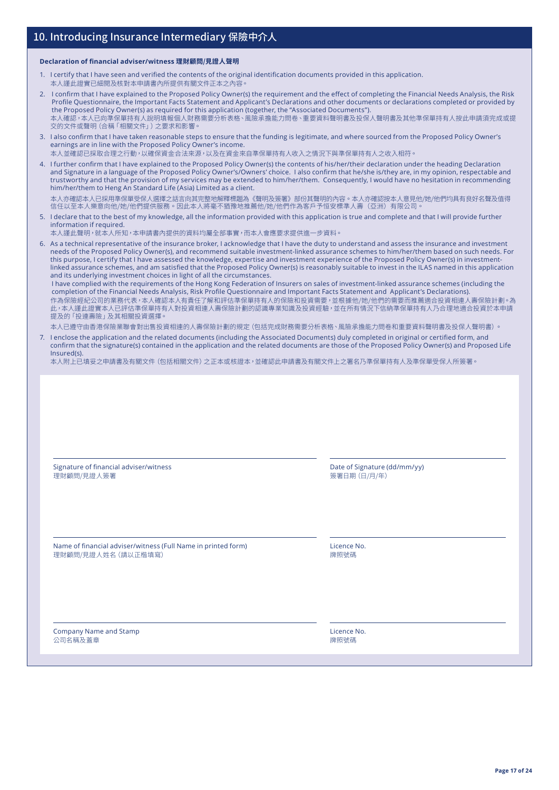#### **Declaration of financial adviser/witness 理財顧問/見證人聲明**

- 1. I certify that I have seen and verified the contents of the original identification documents provided in this application.
- 本人謹此證實已細閱及核對本申請書內所提供有關文件正本之內容。
- 2. I confirm that I have explained to the Proposed Policy Owner(s) the requirement and the effect of completing the Financial Needs Analysis, the Risk Profile Questionnaire, the Important Facts Statement and Applicant's Declarations and other documents or declarations completed or provided by the Proposed Policy Owner(s) as required for this application (together, the "Associated Documents"). 本人確認,本人已向準保單持有人說明填報個人財務需要分析表格、風險承擔能力問卷、重要資料聲明書及投保人聲明書及其他準保單持有人按此申請須完成或提 交的文件或聲明(合稱「相關文件」)之要求和影響。
- 3. I also confirm that I have taken reasonable steps to ensure that the funding is legitimate, and where sourced from the Proposed Policy Owner's earnings are in line with the Proposed Policy Owner's income.
- 本人並確認已採取合理之行動,以確保資金合法來源,以及在資金來自準保單持有人收入之情況下與準保單持有人之收入相符。
- 4. I further confirm that I have explained to the Proposed Policy Owner(s) the contents of his/her/their declaration under the heading Declaration and Signature in a language of the Proposed Policy Owner's/Owners' choice. I also confirm that he/she is/they are, in my opinion, respectable and trustworthy and that the provision of my services may be extended to him/her/them. Consequently, I would have no hesitation in recommending him/her/them to Heng An Standard Life (Asia) Limited as a client.

本人亦確認本人已採用準保單受保人選擇之話言向其完整地解釋標題為《聲明及簽署》部份其聲明的內容。本人亦確認按本人意見他/她/他們均具有良好名聲及值得<br>信任以至本人樂意向他/她/他們提供服務。因此本人將毫不猶豫地推薦他/她/他們作為客戶予恒安標準人壽(亞洲)有限公司。

5. I declare that to the best of my knowledge, all the information provided with this application is true and complete and that I will provide further information if required.

本人謹此聲明,就本人所知,本申請書內提供的資料均屬全部事實,而本人會應要求提供進一步資料。

6. As a technical representative of the insurance broker, I acknowledge that I have the duty to understand and assess the insurance and investment needs of the Proposed Policy Owner(s), and recommend suitable investment-linked assurance schemes to him/her/them based on such needs. For this purpose, I certify that I have assessed the knowledge, expertise and investment experience of the Proposed Policy Owner(s) in investmentlinked assurance schemes, and am satisfied that the Proposed Policy Owner(s) is reasonably suitable to invest in the ILAS named in this application and its underlying investment choices in light of all the circumstances.

I have complied with the requirements of the Hong Kong Federation of Insurers on sales of investment-linked assurance schemes (including the completion of the Financial Needs Analysis, Risk Profile Questionnaire and Important Facts Statement and Applicant's Declarations). 作為保險經紀公司的業務代表,本人確認本人有責任了解和評估準保單持有人的保險和投資需要,並根據他/她/他們的需要而推薦適合投資相連人壽保險計劃。為 此,本人謹此證實本人已評估準保單持有人對投資相連人壽保險計劃的認識專業知識及投資經驗,並在所有情況下信納準保單持有人乃合理地適合投資於本申請, 提及的「投連壽險」及其相關投資選擇

- 本人已遵守由香港保險業聯會對出售投資相連的人壽保險計劃的規定(包括完成財務需要分析表格、風險承擔能力問卷和重要資料聲明書及投保人聲明書)。
- 7. I enclose the application and the related documents (including the Associated Documents) duly completed in original or certified form, and confirm that the signature(s) contained in the application and the related documents are those of the Proposed Policy Owner(s) and Proposed Life Insured(s).

本人附上已填妥之申請書及有關文件(包括相關文件)之正本或核證本,並確認此申請書及有關文件上之署名乃準保單持有人及準保單受保人所簽署。

| Signature of financial adviser/witness                        | Date of Signature (dd/mm/yy) |
|---------------------------------------------------------------|------------------------------|
| 理財顧問/見證人簽署                                                    | 簽署日期 (日/月/年)                 |
| Name of financial adviser/witness (Full Name in printed form) | Licence No.                  |
| 理財顧問/見證人姓名 (請以正楷填寫)                                           | 牌照號碼                         |
| Company Name and Stamp                                        | Licence No.                  |
| 公司名稱及蓋章                                                       | 牌照號碼                         |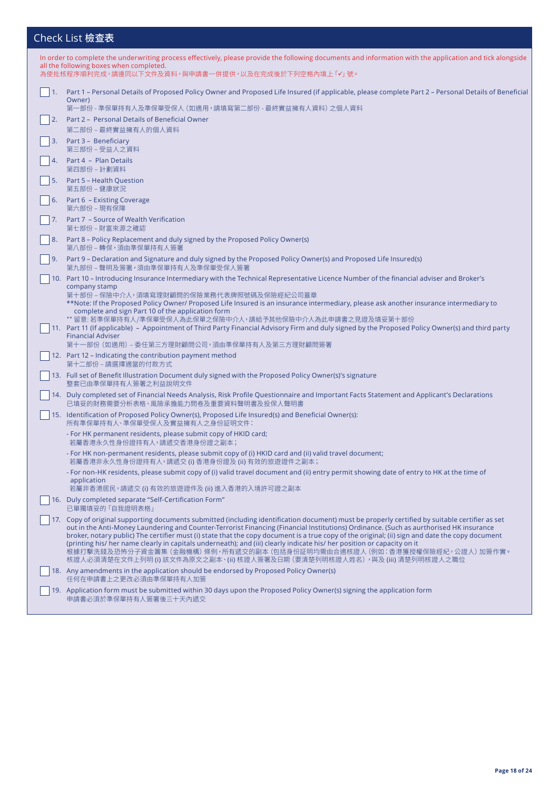## Check List 檢查表

|    | In order to complete the underwriting process effectively, please provide the following documents and information with the application and tick alongside<br>all the following boxes when completed.<br>為使批核程序順利完成,請連同以下文件及資料,與申請書一併提供,以及在完成後於下列空格內填上 「✔」 號。                                                                                                                                                                                                                                                                                                                     |
|----|----------------------------------------------------------------------------------------------------------------------------------------------------------------------------------------------------------------------------------------------------------------------------------------------------------------------------------------------------------------------------------------------------------------------------------------------------------------------------------------------------------------------------------------------------------------------------------|
|    |                                                                                                                                                                                                                                                                                                                                                                                                                                                                                                                                                                                  |
|    | Part 1 – Personal Details of Proposed Policy Owner and Proposed Life Insured (if applicable, please complete Part 2 – Personal Details of Beneficial<br>Owner)<br>第一部份 - 準保單持有人及準保單受保人 (如適用,請填寫第二部份 - 最終實益擁有人資料) 之個人資料                                                                                                                                                                                                                                                                                                                                                           |
| 2. | Part 2 – Personal Details of Beneficial Owner                                                                                                                                                                                                                                                                                                                                                                                                                                                                                                                                    |
|    | 第二部份 – 最終實益擁有人的個人資料                                                                                                                                                                                                                                                                                                                                                                                                                                                                                                                                                              |
|    | 3. Part 3 - Beneficiary<br>第三部份 – 受益人之資料                                                                                                                                                                                                                                                                                                                                                                                                                                                                                                                                         |
|    | Part 4 - Plan Details<br>第四部份 – 計劃資料                                                                                                                                                                                                                                                                                                                                                                                                                                                                                                                                             |
|    | 5. Part 5 - Health Question<br>第五部份 - 健康狀況                                                                                                                                                                                                                                                                                                                                                                                                                                                                                                                                       |
|    | 6. Part 6 - Existing Coverage<br>第六部份 – 現有保障                                                                                                                                                                                                                                                                                                                                                                                                                                                                                                                                     |
|    | Part 7 - Source of Wealth Verification<br>第七部份 – 財富來源之確認                                                                                                                                                                                                                                                                                                                                                                                                                                                                                                                         |
| 8. | Part 8 – Policy Replacement and duly signed by the Proposed Policy Owner(s)<br>第八部份 – 轉保,須由準保單持有人簽署                                                                                                                                                                                                                                                                                                                                                                                                                                                                              |
|    | 9. Part 9 – Declaration and Signature and duly signed by the Proposed Policy Owner(s) and Proposed Life Insured(s)<br>第九部份-聲明及簽署,須由準保單持有人及準保單受保人簽署                                                                                                                                                                                                                                                                                                                                                                                                                               |
|    | 10. Part 10 – Introducing Insurance Intermediary with the Technical Representative Licence Number of the financial adviser and Broker's<br>company stamp<br>第十部份 - 保險中介人, 須填寫理財顧問的保險業務代表牌照號碼及保險經紀公司蓋章                                                                                                                                                                                                                                                                                                                                                                            |
|    | **Note: If the Proposed Policy Owner/ Proposed Life Insured is an insurance intermediary, please ask another insurance intermediary to<br>complete and sign Part 10 of the application form<br>** 留意: 若準保單持有人/準保單受保人為此保單之保險中介人,請給予其他保險中介人為此申請書之見證及填妥第十部份<br>11. Part 11 (If applicable) - Appointment of Third Party Financial Advisory Firm and duly signed by the Proposed Policy Owner(s) and third party                                                                                                                                                                     |
|    | <b>Financial Adviser</b><br>第十一部份 (如適用) – 委任第三方理財顧問公司,須由準保單持有人及第三方理財顧問簽署                                                                                                                                                                                                                                                                                                                                                                                                                                                                                                         |
|    | 12. Part 12 – Indicating the contribution payment method<br>第十二部份 – 請選擇適當的付款方式                                                                                                                                                                                                                                                                                                                                                                                                                                                                                                   |
|    | 13. Full set of Benefit Illustration Document duly signed with the Proposed Policy Owner(s)'s signature<br>整套已由準保單持有人簽署之利益說明文件                                                                                                                                                                                                                                                                                                                                                                                                                                                   |
|    | 14. Duly completed set of Financial Needs Analysis, Risk Profile Questionnaire and Important Facts Statement and Applicant's Declarations<br>已填妥的財務需要分析表格、風險承擔能力問卷及重要資料聲明書及投保人聲明書                                                                                                                                                                                                                                                                                                                                                                                                |
|    | 15. Identification of Proposed Policy Owner(s), Proposed Life Insured(s) and Beneficial Owner(s):<br>所有準保單持有人、準保單受保人及實益擁有人之身份証明文件:                                                                                                                                                                                                                                                                                                                                                                                                                                               |
|    | - For HK permanent residents, please submit copy of HKID card;<br>若屬香港永久性身份證持有人,請遞交香港身份證之副本;                                                                                                                                                                                                                                                                                                                                                                                                                                                                                     |
|    | - For HK non-permanent residents, please submit copy of (i) HKID card and (ii) valid travel document;<br>若屬香港非永久性身份證持有人,請遞交 (i) 香港身份證及 (ii) 有效的旅遊證件之副本;                                                                                                                                                                                                                                                                                                                                                                                                                          |
|    | For non-HK residents, please submit copy of (i) valid travel document and (ii) entry permit showing date of entry to HK at the time of<br>application<br>若屬非香港居民,請遞交 (i) 有效的旅遊證件及 (ii) 進入香港的入境許可證之副本                                                                                                                                                                                                                                                                                                                                                                             |
|    | 16. Duly completed separate "Self-Certification Form"<br>已單獨填妥的 「自我證明表格」                                                                                                                                                                                                                                                                                                                                                                                                                                                                                                         |
|    | 17. Copy of original supporting documents submitted (including identification document) must be properly certified by suitable certifier as set                                                                                                                                                                                                                                                                                                                                                                                                                                  |
|    | out in the Anti-Money Laundering and Counter-Terrorist Financing (Financial Institutions) Ordinance. (Such as aurthorised HK insurance<br>broker, notary public) The certifier must (i) state that the copy document is a true copy of the original; (ii) sign and date the copy document<br>(printing his/ her name clearly in capitals underneath); and (iii) clearly indicate his/ her position or capacity on it<br>根據打擊洗錢及恐怖分子資金籌集 (金融機構) 條例,所有遞交的副本 (包括身份証明均需由合適核證人 (例如:香港獲授權保險經紀,公證人) 加簽作實。<br>核證人必須清楚在文件上列明 (i) 該文件為原文之副本、(ii) 核證人簽署及日期 (要清楚列明核證人姓名),與及 (iii) 清楚列明核證人之職位 |
|    | 18. Any amendments in the application should be endorsed by Proposed Policy Owner(s)<br>任何在申請書上之更改必須由準保單持有人加簽                                                                                                                                                                                                                                                                                                                                                                                                                                                                    |
|    | 19. Application form must be submitted within 30 days upon the Proposed Policy Owner(s) signing the application form<br>申請書必須於準保單持有人簽署後三十天內遞交                                                                                                                                                                                                                                                                                                                                                                                                                                    |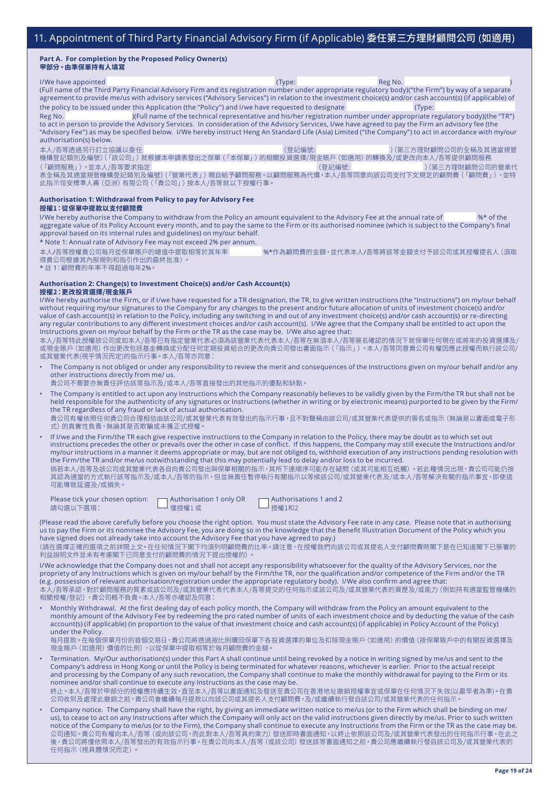#### **Part A. For completion by the Proposed Policy Owner(s) 甲部分。由準保單持有人填寫**

l/We have appointed (Type: Reg No. (Full name of the Third Party Financial Advisory Firm and its registration number under appropriate regulatory body)("the Firm") by way of a separate agreement to provide me/us with advisory services ("Advisory Services") in relation to the investment choice(s) and/or cash account(s) (if applicable) of the policy to be issued under this Application (the "Policy") and I/we have requested to designate (Type: Reg No. )(Full name of the technical representative and his/her registration number under appropriate regulatory body)(the "TR")

to act in person to provide the Advisory Services. In consideration of the Advisory Services, I/we have agreed to pay the Firm an advisory fee (the "Advisory Fee") as may be specified below. I/We hereby instruct Heng An Standard Life (Asia) Limited ("the Company") to act in accordance with my/our authorisation(s) below.

本人/吾等透過另行訂立協議以委任 (登記編號: )(第三方理財顧問公司的全稱及其適當規管 機構登記類別及編號)(「該公司」)就根據本申請表發出之保單(「本保單」)的相關投資選擇/現金賬戶(如適用)的轉換及/或更改向本人/吾等提供顧問服務 (「顧問服務」),並本人/吾等要求指定 (1999年 - 1999年 - 1999年 - 1999年 - 1999年 - 1999年 - 1999年 - 1999年 - 1999年 - 1999年 - 1999年 - 1 表全構及其適富規管機構登記類別及編號) (「營業代表」) 親自給予顧問服務。以顧問服務為代價,本人/吾等同意向該公司支付下又規定的顧問費(「顧問費」),<mark>亚</mark>特 此指示恒安標準人壽(亞洲)有限公司(「貴公司」)按本人/吾等就以下授權行事。

#### **Authorisation 1: Withdrawal from Policy to pay for Advisory Fee 授權1:從保單中提款以支付顧問費**

I/We hereby authorise the Company to withdraw from the Policy an amount equivalent to the Advisory Fee at the annual rate of  $\frac{4}{3}$  of the aggregate value of its Policy Account every month, and to pay the same to the Firm or its authorised nominee (which is subject to the Company's final approval based on its internal rules and guidelines) on my/our behalf.

\* Note 1: Annual rate of Advisory Fee may not exceed 2% per annum.

本人/吾等授權貴公司每月從保單賬戶的總值中提取相等於其年率 %\*作為顧問費的金額,並代表本人/吾等將該等金額支付予該公司或其授權提名人(須取 得貴公司根據其內部規則和指引作出的最終批准)。

\* 註 1:顧問費的年率不得超過每年2%。

## **Authorisation 2: Change(s) to Investment Choice(s) and/or Cash Account(s)**

**授權2:更改投資選擇/現金賬戶**

I/We hereby authorise the Firm, or if I/we have requested for a TR designation, the TR, to give written instructions (the "Instructions") on my/our behalf without requiring my/our signatures to the Company for any changes to the present and/or future allocation of units of investment choice(s) and/or value of cash account(s) in relation to the Policy, including any switching in and out of any investment choice(s) and/or cash account(s) or re-directing any regular contributions to any different investment choices and/or cash account(s). I/We agree that the Company shall be entitled to act upon the Instructions given on my/our behalf by the Firm or the TR as the case may be. I/We also agree that:

本人/吾等特此授權該公司或如本人/吾等已有指定營業代表必須為該營業代表代表本人/吾等在無須本人/吾等簽名確認的情況下就保單任何現在或將來的投資選擇及/ 或現金賬戶(如適 用)作出更改包括基金轉換或分配任何定期投資組合的更改向貴公司發出書面指示(「指示」)。本人/吾等同意貴公司有權因應此授權而執行該公司/ 或其營業代表(視乎情況而定)的指示行事。本人/吾等亦同意:

• The Company is not obliged or under any responsibility to review the merit and consequences of the Instructions given on my/our behalf and/or any other instructions directly from me/ us.

貴公司不需要亦無責任評估該等指示及/或本人/吾等直接發出的其他指示的優點和缺點。

• The Company is entitled to act upon any Instructions which the Company reasonably believes to be validly given by the Firm/the TR but shall not be held responsible for the authenticity of any signatures or Instructions (whether in writing or by electronic means) purported to be given by the Firm/ the TR regardless of any fraud or lack of actual authorisation. 貴公司有權依照任何貴公司合理相信由該公司/或其營業代表有效發出的指示行事,且不對聲稱由該公司/或其營業代表提供的簽名或指示(無論是以書面或電子形

式)的真實性負責,無論其是否欺騙或未獲正式授權。

• If I/we and the Firm/the TR each give respective instructions to the Company in relation to the Policy, there may be doubt as to which set out instructions precedes the other or prevails over the other in case of conflict. If this happens, the Company may still execute the Instructions and/or my/our instructions in a manner it deems appropriate or may, but are not obliged to, withhold execution of any instructions pending resolution with the Firm/the TR and/or me/us notwithstanding that this may potentially lead to delay and/or loss to be incurred. 倘若本人/吾等及該公司或其營業代表各自向貴公司發出與保單相關的指示,其所下達順序可能存在疑問(或其可能相互抵觸)。若此種情況出現,貴公司可能仍按 其認為適當的方式執行該等指示及/或本人/吾等的指示,但並無責任暫停執行有關指示以等候該公司/或其營業代表及/或本人/吾等解決有關的指示事宜,即使這

可能導致延遲及/或損失。

Please tick your chosen option: <br> **Authorisations 1 and 2**<br> **Authorisations 1 and 2** 請勾選以下選項: 僅授權1 或 授權1和2

(Please read the above carefully before you choose the right option. You must state the Advisory Fee rate in any case. Please note that in authorising us to pay the Firm or its nominee the Advisory Fee, you are doing so in the knowledge that the Benefit Illustration Document of the Policy which you have signed does not already take into account the Advisory Fee that you have agreed to pay.)

 (請在選擇正確的選項之前詳閱上文。在任何情況下閣下均須列明顧問費的比率。請注意,在授權我們向該公司或其提名人支付顧問費時閣下是在已知道閣下已簽署的 利益說明文件並未有考慮閣下已同意支付的顧問費的情況下提出授權的)。

I/We acknowledge that the Company does not and shall not accept any responsibility whatsoever for the quality of the Advisory Services, nor the propriety of any Instructions which is given on my/our behalf by the Firm/the TR, nor the qualification and/or competence of the Firm and/or the TR (e.g. possession of relevant authorisation/registration under the appropriate regulatory body). I/We also confirm and agree that: ,<br><del>/</del>吾等承認,對於顧問服務的質素或該公司及/或其營業代表代表本人/吾等提交的任何指示或該公司及/或其營業代表的資歷及/或能力 (例如持有適當監管機構的

相關授權/登記),貴公司概不負責。本人/吾等亦確認及同意:

• Monthly Withdrawal. At the first dealing day of each policy month, the Company will withdraw from the Policy an amount equivalent to the monthly amount of the Advisory Fee by redeeming the pro rated number of units of each investment choice and by deducting the value of the cash account(s) (if applicable) (in proportion to the value of that investment choice and cash account(s) (if applicable) in Policy Account of the Policy) under the Policy.

每月提款。在每個保單月份的首個交易日,貴公司將透過按比例贖回保單下各投資選擇的單位及扣除現金賬戶(如適用)的價值(按保單賬戶中的有關投資選擇及 現金賬戶(如適用)價值的比例),以從保單中提取相等於每月顧問費的金額。

- Termination. My/Our authorisation(s) under this Part A shall continue until being revoked by a notice in writing signed by me/us and sent to the Company's address in Hong Kong or until the Policy is being terminated for whatever reasons, whichever is earlier. Prior to the actual receipt and processing by the Company of any such revocation, the Company shall continue to make the monthly withdrawal for paying to the Firm or its nominee and/or shall continue to execute any Instructions as the case may be. 終止。本人/吾等於甲部分的授權應持續生效,直至本人/吾等以書面通知及發送至貴公司在香港地址撤銷授權事宜或保單在任何情況下失效(以最早者為準)。在貴 公司收到及處理此撤銷之前,貴公司會繼續每月提款以向該公司或其提名人支付顧問費,及/或繼續執行發自該公司/或其營業代表的任何指示。
- Company notice. The Company shall have the right, by giving an immediate written notice to me/us (or to the Firm which shall be binding on me/ us), to cease to act on any Instructions after which the Company will only act on the valid instructions given directly by me/us. Prior to such written notice of the Company to me/us (or to the Firm), the Company shall continue to execute any Instructions from the Firm or the TR as the case may be. 公司通知。貴公司有權向本人/吾等(或向該公司,而此對本人/吾等具約束力)發送即時書面通知,以終止依照該公司及/或其營業代表發出的任何指示行事,在此之 後,貴公司將僅依照本人/吾等發出的有效指示行事。在貴公司向本人/吾等 (或該公司) 發送該等書面通知之前,貴公司應繼續執行發自該公司及/或其營業代表的 任何指示(視具體情況而定)。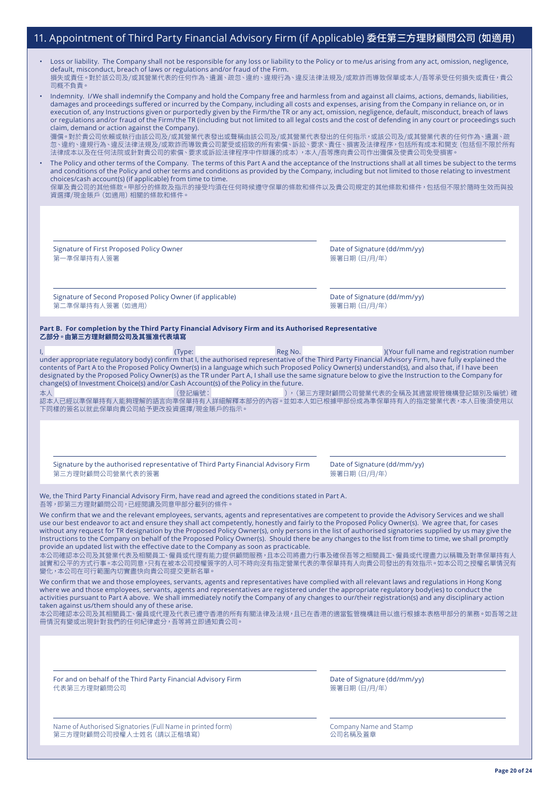### 11. Appointment of Third Party Financial Advisory Firm (if Applicable) 委任第三方理財顧問公司 (如適用)

| Loss or liability. The Company shall not be responsible for any loss or liability to the Policy or to me/us arising from any act, omission, negligence, |
|---------------------------------------------------------------------------------------------------------------------------------------------------------|
| default, misconduct, breach of laws or regulations and/or fraud of the Firm.                                                                            |
| ˈ損失或責任。對於該公司及/或其營業代表的任何作為、遺漏、疏忽、違約、違規行為、違反法律法規及/或欺詐而導致保單或本人/吾等承受任何損失或責任,貴公<br>司概不自青。                                                                    |

| Indemnity. I/We shall indemnify the Company and hold the Company free and harmless from and against all claims, actions, demands, liabilities,          |
|---------------------------------------------------------------------------------------------------------------------------------------------------------|
| damages and proceedings suffered or incurred by the Company, including all costs and expenses, arising from the Company in reliance on, or in           |
| execution of, any Instructions given or purportedly given by the Firm/the TR or any act, omission, negligence, default, misconduct, breach of laws      |
| or regulations and/or fraud of the Firm/the TR (including but not limited to all legal costs and the cost of defending in any court or proceedings such |
| claim, demand or action against the Company).                                                                                                           |

彌償。對於貴公司依賴或執行由該公司及/或其營業代表發出或聲稱由該公司及/或其營業代表發出的任何指示,或該公司及/或其營業代表的任何作為、遺漏、疏 忽、違約、違規行為、違反法律法規及/或欺詐而導致貴公司蒙受或招致的所有索償、訴訟、要求、責任、損害及法律程序,包括所有成本和開支(包括但不限於所有 法律成本以及在任何法院或針對貴公司的索償、要求或訴訟法律程序中作辯護的成本),本人/吾等應向貴公司作出彌償及使貴公司免受損害

• The Policy and other terms of the Company. The terms of this Part A and the acceptance of the Instructions shall at all times be subject to the terms and conditions of the Policy and other terms and conditions as provided by the Company, including but not limited to those relating to investment choices/cash account(s) (if applicable) from time to time.

保單及貴公司的其他條款。甲部分的條款及指示的接受均須在任何時候遵守保單的條款和條件以及貴公司規定的其他條款和條件,包括但不限於隨時生效而與投 資選擇/現金賬戶(如適用)相關的條款和條件。

Signature of First Proposed Policy Owner 第一準保單持有人簽署

Date of Signature (dd/mm/yy) 簽署日期(日/月/年)

Signature of Second Proposed Policy Owner (if applicable) 第二準保單持有人簽署(如適用)

Date of Signature (dd/mm/yy) 簽署日期(日/月/年)

#### **Part B. For completion by the Third Party Financial Advisory Firm and its Authorised Representative 乙部分。由第三方理財顧問公司及其獲准代表填寫**

(Type: Reg No. 2008) Reg No. 2012 (Your full name and registration number under appropriate regulatory body) confirm that I, the authorised representative of the Third Party Financial Advisory Firm, have fully explained the contents of Part A to the Proposed Policy Owner(s) in a language which such Proposed Policy Owner(s) understand(s), and also that, if I have been designated by the Proposed Policy Owner(s) as the TR under Part A, I shall use the same signature below to give the Instruction to the Company for change(s) of Investment Choice(s) and/or Cash Account(s) of the Policy in the future.

本人 (登記編號: ),(第三方理財顧問公司營業代表的全稱及其適當規管機構登記類別及編號)確 認本人已經以準保單持有人能夠理解的語言向準保單持有人詳細解釋本部分的内容。並如本人如已根據甲部份成為準保單持有人的指定營業代表,本人日後須使用以 下同樣的簽名以就此保單向貴公司給予更改投資選擇/現金賬戶的指示。

Signature by the authorised representative of Third Party Financial Advisory Firm 第三方理財顧問公司營業代表的簽署

Date of Signature (dd/mm/yy) 簽署日期(日/月/年)

We, the Third Party Financial Advisory Firm, have read and agreed the conditions stated in Part A. 吾等,即第三方理財顧問公司,已經閱讀及同意甲部分載列的條件

We confirm that we and the relevant employees, servants, agents and representatives are competent to provide the Advisory Services and we shall use our best endeavor to act and ensure they shall act competently, honestly and fairly to the Proposed Policy Owner(s). We agree that, for cases without any request for TR designation by the Proposed Policy Owner(s), only persons in the list of authorised signatories supplied by us may give the Instructions to the Company on behalf of the Proposed Policy Owner(s). Should there be any changes to the list from time to time, we shall promptly provide an updated list with the effective date to the Company as soon as practicable.

本公司確認本公司及其營業代表及相關員工、僱員或代理有能力提供顧問服務,且本公司將盡力行事及確保吾等之相關員工、僱員或代理盡力以稱職及對準保單持有人 誠實和公平的方式行事。本公司同意,只有在被本公司授權簽字的人可不時向沒有指定營業代表的準保單持有人向貴公司發出的有效指示。如本公司之授權名單情況有 變化,本公司在可行範圍內切實盡快向貴公司提交更新名單。

We confirm that we and those employees, servants, agents and representatives have complied with all relevant laws and regulations in Hong Kong where we and those employees, servants, agents and representatives are registered under the appropriate regulatory body(ies) to conduct the activities pursuant to Part A above. We shall immediately notify the Company of any changes to our/their registration(s) and any disciplinary action taken against us/them should any of these arise.

本公司確認本公司及其相關員工、僱員或代理及代表已遵守香港的所有有關法律及法規,且已在香港的適當監管機構註冊以進行根據本表格甲部分的業務。如吾等之註 冊情況有變或出現針對我們的任何紀律處分,吾等將立即通知貴公司。

For and on behalf of the Third Party Financial Advisory Firm 代表第三方理財顧問公司

Date of Signature (dd/mm/yy) 簽署日期(日/月/年)

Name of Authorised Signatories (Full Name in printed form) 第三方理財顧問公司授權人士姓名(請以正楷填寫)

Company Name and Stamp 公司名稱及蓋章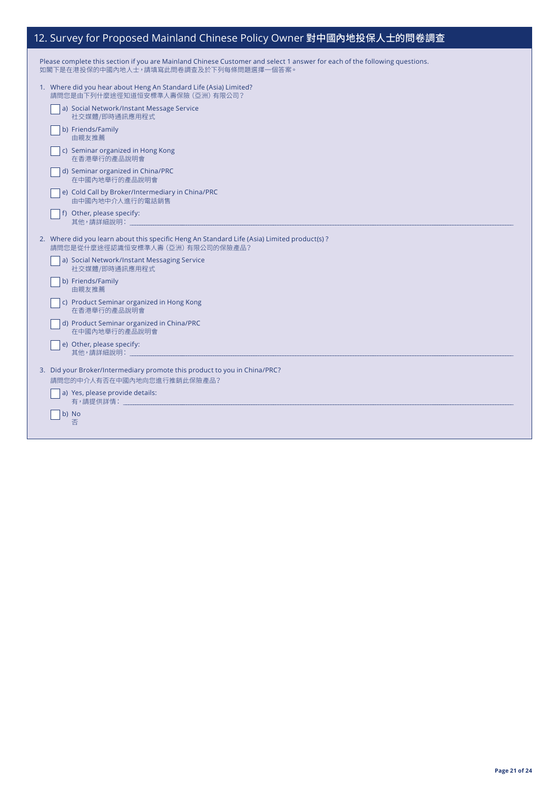# 12. Survey for Proposed Mainland Chinese Policy Owner 對中國內地投保人士的問卷調查

| Please complete this section if you are Mainland Chinese Customer and select 1 answer for each of the following questions. |
|----------------------------------------------------------------------------------------------------------------------------|
| 如閣下是在港投保的中國內地人士,請填寫此問卷調查及於下列每條問題選擇一個答案。                                                                                    |

| 1. Where did you hear about Heng An Standard Life (Asia) Limited? |  |
|-------------------------------------------------------------------|--|
| 請問您是由下列什麼途徑知道恒安標準人壽保險 (亞洲) 有限公司?                                  |  |

| a) Social Network/Instant Message Service<br>社交媒體/即時通訊應用程式                                                                       |
|----------------------------------------------------------------------------------------------------------------------------------|
| b) Friends/Family<br>由親友推薦                                                                                                       |
| c) Seminar organized in Hong Kong<br>在香港舉行的產品說明會                                                                                 |
| d) Seminar organized in China/PRC<br>在中國內地舉行的產品說明會                                                                               |
| e) Cold Call by Broker/Intermediary in China/PRC<br>由中國內地中介人進行的電話銷售                                                              |
| f) Other, please specify:<br>其他,請詳細說明:                                                                                           |
| 2. Where did you learn about this specific Heng An Standard Life (Asia) Limited product(s)?<br>請問您是從什麼途徑認識恒安標準人壽 (亞洲) 有限公司的保險產品? |
| a) Social Network/Instant Messaging Service<br>社交媒體/即時通訊應用程式                                                                     |
| b) Friends/Family<br>由親友推薦                                                                                                       |
| c) Product Seminar organized in Hong Kong<br>在香港舉行的產品說明會                                                                         |
| d) Product Seminar organized in China/PRC<br>在中國內地舉行的產品說明會                                                                       |
| e) Other, please specify:                                                                                                        |
| 3. Did your Broker/Intermediary promote this product to you in China/PRC?<br>請問您的中介人有否在中國內地向您進行推銷此保險產品?                          |
| a) Yes, please provide details:<br>有,請提供詳情: そうしゃ しゅうしょう                                                                          |
| b) No<br>否                                                                                                                       |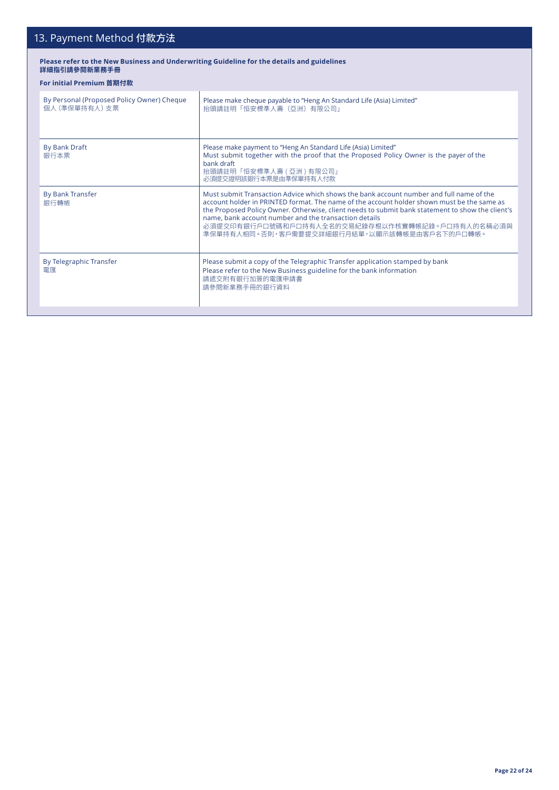# 13. Payment Method 付款方法

#### **Please refer to the New Business and Underwriting Guideline for the details and guidelines 詳細指引請參閱新業務手冊**

### **For initial Premium 首期付款**

| By Personal (Proposed Policy Owner) Cheque<br>個人 (準保單持有人) 支票 | Please make cheque payable to "Heng An Standard Life (Asia) Limited"<br>抬頭請註明「恒安標準人壽(亞洲)有限公司」                                                                                                                                                                                                                                                                                                                                                         |
|--------------------------------------------------------------|-------------------------------------------------------------------------------------------------------------------------------------------------------------------------------------------------------------------------------------------------------------------------------------------------------------------------------------------------------------------------------------------------------------------------------------------------------|
| <b>By Bank Draft</b><br>銀行本票                                 | Please make payment to "Heng An Standard Life (Asia) Limited"<br>Must submit together with the proof that the Proposed Policy Owner is the payer of the<br>bank draft<br>抬頭請註明「恒安標準人壽 ( 亞洲 ) 有限公司」<br>必須提交證明該銀行本票是由準保單持有人付款                                                                                                                                                                                                                           |
| <b>By Bank Transfer</b><br>銀行轉帳                              | Must submit Transaction Advice which shows the bank account number and full name of the<br>account holder in PRINTED format. The name of the account holder shown must be the same as<br>the Proposed Policy Owner. Otherwise, client needs to submit bank statement to show the client's<br>name, bank account number and the transaction details<br>必須提交印有銀行戶口號碼和戶口持有人全名的交易紀錄存根以作核實轉帳記錄。戶口持有人的名稱必須與<br>準保單持有人相同。否則,客戶需要提交詳細銀行月結單,以顯示該轉帳是由客戶名下的戶口轉帳。 |
| By Telegraphic Transfer<br>雷匯                                | Please submit a copy of the Telegraphic Transfer application stamped by bank<br>Please refer to the New Business guideline for the bank information<br>請遞交附有銀行加簽的電匯申請書<br>請參閱新業務手冊的銀行資料                                                                                                                                                                                                                                                               |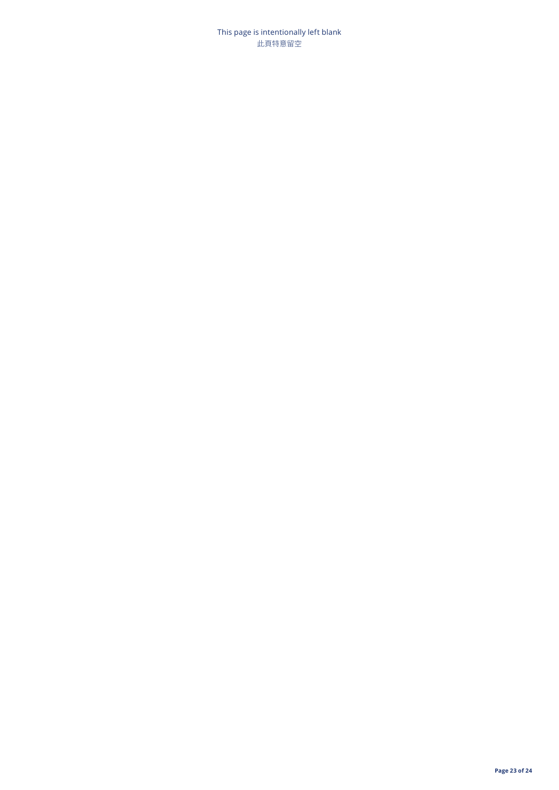This page is intentionally left blank 此頁特意留空